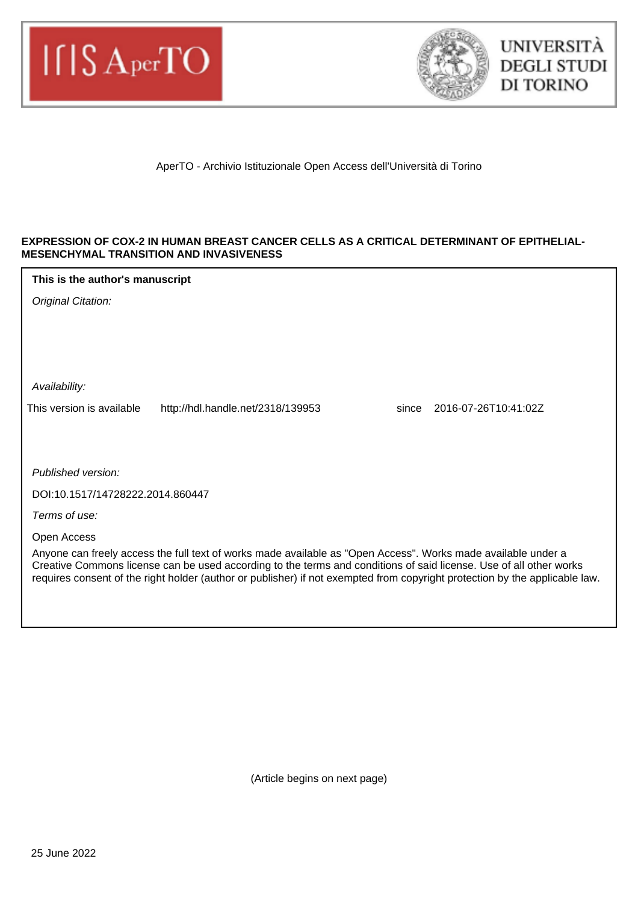



AperTO - Archivio Istituzionale Open Access dell'Università di Torino

#### **EXPRESSION OF COX-2 IN HUMAN BREAST CANCER CELLS AS A CRITICAL DETERMINANT OF EPITHELIAL-MESENCHYMAL TRANSITION AND INVASIVENESS**

| This is the author's manuscript |  |
|---------------------------------|--|
|---------------------------------|--|

Original Citation:

Availability:

This version is available http://hdl.handle.net/2318/139953 since 2016-07-26T10:41:02Z

Published version:

DOI:10.1517/14728222.2014.860447

Terms of use:

Open Access

Anyone can freely access the full text of works made available as "Open Access". Works made available under a Creative Commons license can be used according to the terms and conditions of said license. Use of all other works requires consent of the right holder (author or publisher) if not exempted from copyright protection by the applicable law.

(Article begins on next page)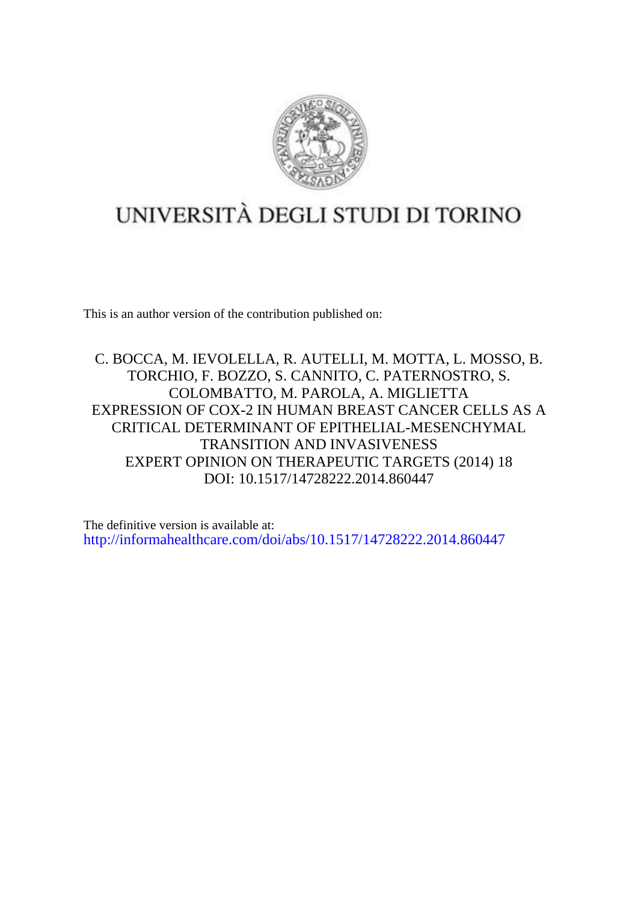

# UNIVERSITÀ DEGLI STUDI DI TORINO

This is an author version of the contribution published on:

C. BOCCA, M. IEVOLELLA, R. AUTELLI, M. MOTTA, L. MOSSO, B. TORCHIO, F. BOZZO, S. CANNITO, C. PATERNOSTRO, S. COLOMBATTO, M. PAROLA, A. MIGLIETTA EXPRESSION OF COX-2 IN HUMAN BREAST CANCER CELLS AS A CRITICAL DETERMINANT OF EPITHELIAL-MESENCHYMAL TRANSITION AND INVASIVENESS EXPERT OPINION ON THERAPEUTIC TARGETS (2014) 18 DOI: 10.1517/14728222.2014.860447

The definitive version is available at: <http://informahealthcare.com/doi/abs/10.1517/14728222.2014.860447>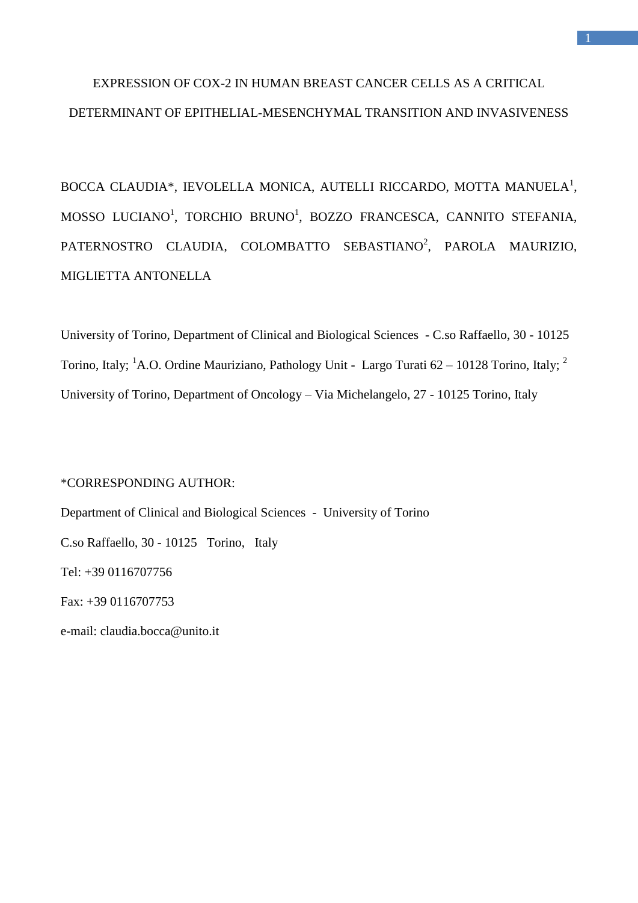## EXPRESSION OF COX-2 IN HUMAN BREAST CANCER CELLS AS A CRITICAL DETERMINANT OF EPITHELIAL-MESENCHYMAL TRANSITION AND INVASIVENESS

BOCCA CLAUDIA\*, IEVOLELLA MONICA, AUTELLI RICCARDO, MOTTA MANUELA<sup>1</sup>, MOSSO LUCIANO<sup>1</sup>, TORCHIO BRUNO<sup>1</sup>, BOZZO FRANCESCA, CANNITO STEFANIA, PATERNOSTRO CLAUDIA, COLOMBATTO SEBASTIANO<sup>2</sup>, PAROLA MAURIZIO, MIGLIETTA ANTONELLA

University of Torino, Department of Clinical and Biological Sciences - C.so Raffaello, 30 - 10125 Torino, Italy; <sup>1</sup>A.O. Ordine Mauriziano, Pathology Unit - Largo Turati  $62 - 10128$  Torino, Italy; <sup>2</sup> University of Torino, Department of Oncology – Via Michelangelo, 27 - 10125 Torino, Italy

## \*CORRESPONDING AUTHOR:

Department of Clinical and Biological Sciences - University of Torino C.so Raffaello, 30 - 10125 Torino, Italy Tel: +39 0116707756 Fax: +39 0116707753 e-mail: claudia.bocca@unito.it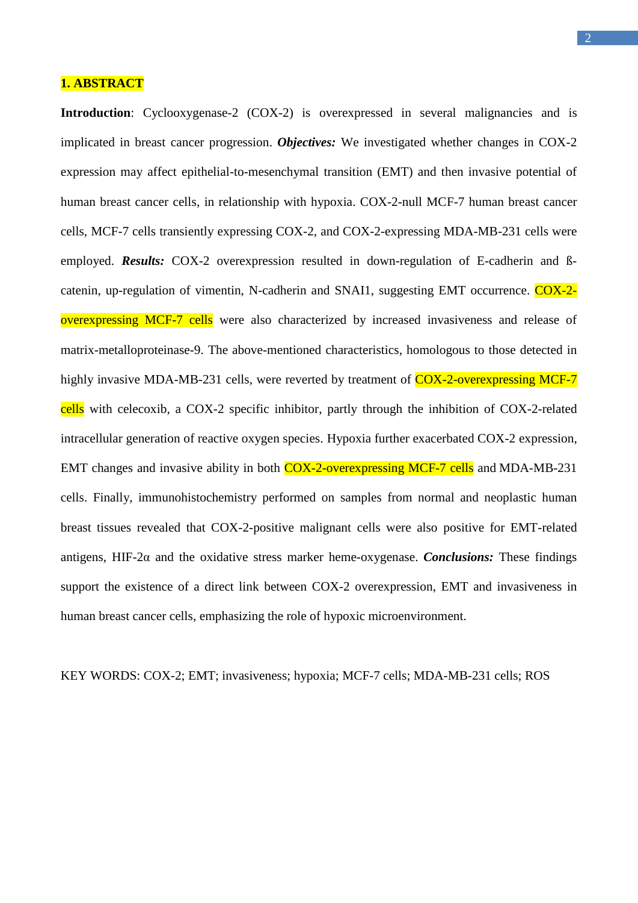## **1. ABSTRACT**

**Introduction**: Cyclooxygenase-2 (COX-2) is overexpressed in several malignancies and is implicated in breast cancer progression. *Objectives:* We investigated whether changes in COX-2 expression may affect epithelial-to-mesenchymal transition (EMT) and then invasive potential of human breast cancer cells, in relationship with hypoxia. COX-2-null MCF-7 human breast cancer cells, MCF-7 cells transiently expressing COX-2, and COX-2-expressing MDA-MB-231 cells were employed. **Results:** COX-2 overexpression resulted in down-regulation of E-cadherin and Bcatenin, up-regulation of vimentin, N-cadherin and SNAI1, suggesting EMT occurrence. COX-2overexpressing MCF-7 cells were also characterized by increased invasiveness and release of matrix-metalloproteinase-9. The above-mentioned characteristics, homologous to those detected in highly invasive MDA-MB-231 cells, were reverted by treatment of COX-2-overexpressing MCF-7 cells with celecoxib, a COX-2 specific inhibitor, partly through the inhibition of COX-2-related intracellular generation of reactive oxygen species. Hypoxia further exacerbated COX-2 expression, EMT changes and invasive ability in both COX-2-overexpressing MCF-7 cells and MDA-MB-231 cells. Finally, immunohistochemistry performed on samples from normal and neoplastic human breast tissues revealed that COX-2-positive malignant cells were also positive for EMT-related antigens, HIF-2α and the oxidative stress marker heme-oxygenase. *Conclusions:* These findings support the existence of a direct link between COX-2 overexpression, EMT and invasiveness in human breast cancer cells, emphasizing the role of hypoxic microenvironment.

KEY WORDS: COX-2; EMT; invasiveness; hypoxia; MCF-7 cells; MDA-MB-231 cells; ROS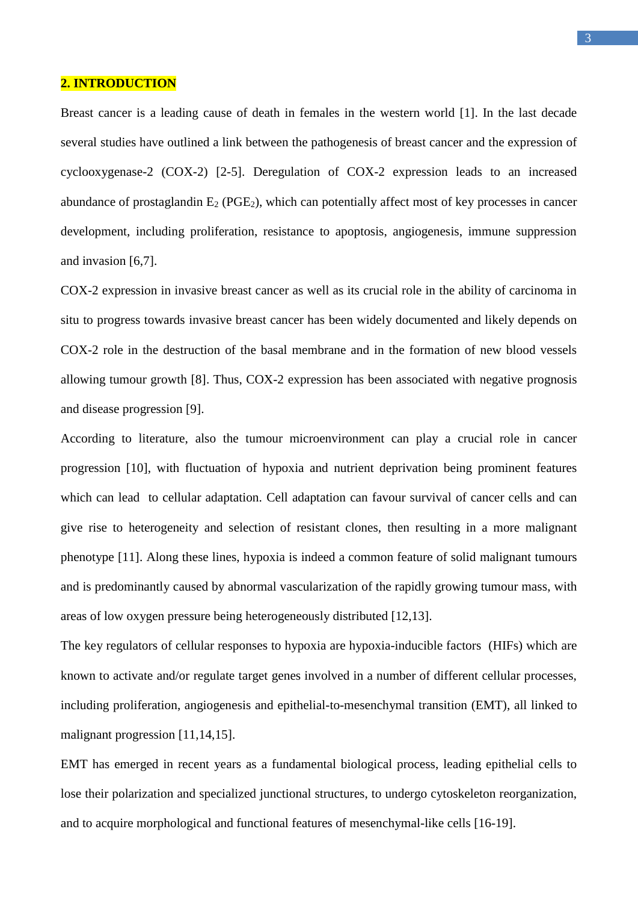#### **2. INTRODUCTION**

Breast cancer is a leading cause of death in females in the western world [1]. In the last decade several studies have outlined a link between the pathogenesis of breast cancer and the expression of cyclooxygenase-2 (COX-2) [2-5]. Deregulation of COX-2 expression leads to an increased abundance of prostaglandin  $E_2$  (PGE<sub>2</sub>), which can potentially affect most of key processes in cancer development, including proliferation, resistance to apoptosis, angiogenesis, immune suppression and invasion [6,7].

COX-2 expression in invasive breast cancer as well as its crucial role in the ability of carcinoma in situ to progress towards invasive breast cancer has been widely documented and likely depends on COX-2 role in the destruction of the basal membrane and in the formation of new blood vessels allowing tumour growth [8]. Thus, COX-2 expression has been associated with negative prognosis and disease progression [9].

According to literature, also the tumour microenvironment can play a crucial role in cancer progression [10], with fluctuation of hypoxia and nutrient deprivation being prominent features which can lead to cellular adaptation. Cell adaptation can favour survival of cancer cells and can give rise to heterogeneity and selection of resistant clones, then resulting in a more malignant phenotype [11]. Along these lines, hypoxia is indeed a common feature of solid malignant tumours and is predominantly caused by abnormal vascularization of the rapidly growing tumour mass, with areas of low oxygen pressure being heterogeneously distributed [12,13].

The key regulators of cellular responses to hypoxia are hypoxia-inducible factors (HIFs) which are known to activate and/or regulate target genes involved in a number of different cellular processes, including proliferation, angiogenesis and epithelial-to-mesenchymal transition (EMT), all linked to malignant progression [11,14,15].

EMT has emerged in recent years as a fundamental biological process, leading epithelial cells to lose their polarization and specialized junctional structures, to undergo cytoskeleton reorganization, and to acquire morphological and functional features of mesenchymal-like cells [16-19].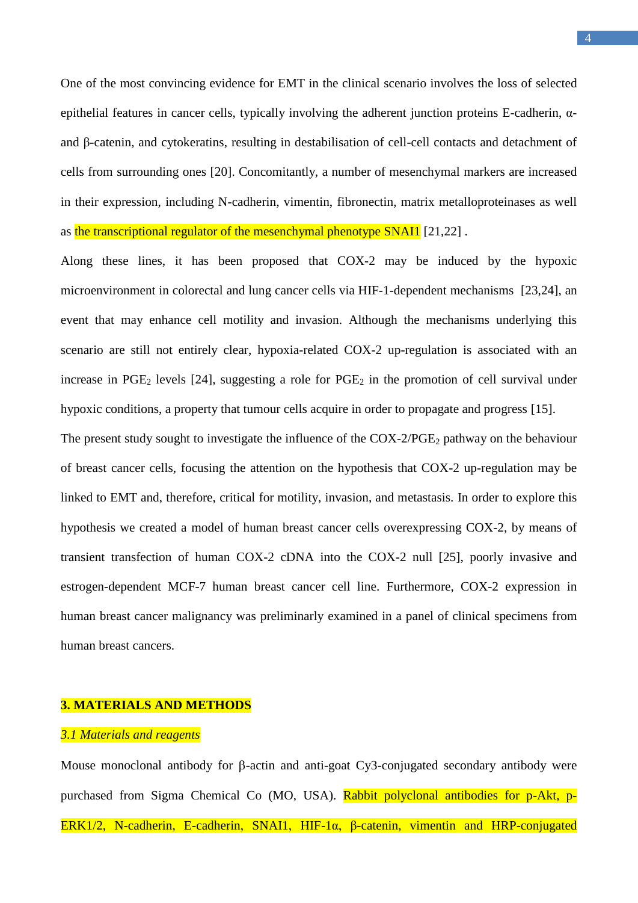One of the most convincing evidence for EMT in the clinical scenario involves the loss of selected epithelial features in cancer cells, typically involving the adherent junction proteins E-cadherin, αand β-catenin, and cytokeratins, resulting in destabilisation of cell-cell contacts and detachment of cells from surrounding ones [20]. Concomitantly, a number of mesenchymal markers are increased in their expression, including N-cadherin, vimentin, fibronectin, matrix metalloproteinases as well as the transcriptional regulator of the mesenchymal phenotype SNAI1 [21,22].

Along these lines, it has been proposed that COX-2 may be induced by the hypoxic microenvironment in colorectal and lung cancer cells via HIF-1-dependent mechanisms [23,24], an event that may enhance cell motility and invasion. Although the mechanisms underlying this scenario are still not entirely clear, hypoxia-related COX-2 up-regulation is associated with an increase in  $PGE_2$  levels [24], suggesting a role for  $PGE_2$  in the promotion of cell survival under hypoxic conditions, a property that tumour cells acquire in order to propagate and progress [15].

The present study sought to investigate the influence of the  $COX-2/PGE_2$  pathway on the behaviour of breast cancer cells, focusing the attention on the hypothesis that COX-2 up-regulation may be linked to EMT and, therefore, critical for motility, invasion, and metastasis. In order to explore this hypothesis we created a model of human breast cancer cells overexpressing COX-2, by means of transient transfection of human COX-2 cDNA into the COX-2 null [25], poorly invasive and estrogen-dependent MCF-7 human breast cancer cell line. Furthermore, COX-2 expression in human breast cancer malignancy was preliminarly examined in a panel of clinical specimens from human breast cancers.

#### **3. MATERIALS AND METHODS**

## *3.1 Materials and reagents*

Mouse monoclonal antibody for  $\beta$ -actin and anti-goat Cy3-conjugated secondary antibody were purchased from Sigma Chemical Co (MO, USA). Rabbit polyclonal antibodies for p-Akt, p-ERK1/2, N-cadherin, E-cadherin, SNAI1, HIF-1α, β-catenin, vimentin and HRP-conjugated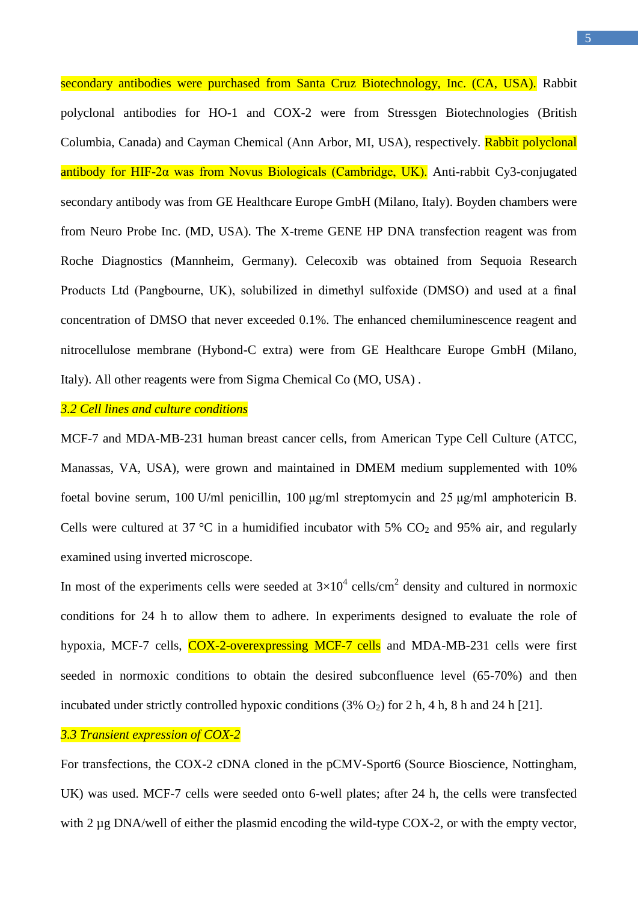secondary antibodies were purchased from Santa Cruz Biotechnology, Inc. (CA, USA). Rabbit polyclonal antibodies for HO-1 and COX-2 were from Stressgen Biotechnologies (British Columbia, Canada) and Cayman Chemical (Ann Arbor, MI, USA), respectively. Rabbit polyclonal antibody for HIF-2α was from Novus Biologicals (Cambridge, UK). Anti-rabbit Cy3-conjugated secondary antibody was from GE Healthcare Europe GmbH (Milano, Italy). Boyden chambers were from Neuro Probe Inc. (MD, USA). The X-treme GENE HP DNA transfection reagent was from Roche Diagnostics (Mannheim, Germany). Celecoxib was obtained from Sequoia Research Products Ltd (Pangbourne, UK), solubilized in dimethyl sulfoxide (DMSO) and used at a final concentration of DMSO that never exceeded 0.1%. The enhanced chemiluminescence reagent and nitrocellulose membrane (Hybond-C extra) were from GE Healthcare Europe GmbH (Milano, Italy). All other reagents were from Sigma Chemical Co (MO, USA) .

#### *3.2 Cell lines and culture conditions*

MCF-7 and MDA-MB-231 human breast cancer cells, from American Type Cell Culture (ATCC, Manassas, VA, USA), were grown and maintained in DMEM medium supplemented with 10% foetal bovine serum, 100 U/ml penicillin, 100 μg/ml streptomycin and 25 μg/ml amphotericin B. Cells were cultured at 37 °C in a humidified incubator with 5%  $CO<sub>2</sub>$  and 95% air, and regularly examined using inverted microscope.

In most of the experiments cells were seeded at  $3\times10^4$  cells/cm<sup>2</sup> density and cultured in normoxic conditions for 24 h to allow them to adhere. In experiments designed to evaluate the role of hypoxia, MCF-7 cells, COX-2-overexpressing MCF-7 cells and MDA-MB-231 cells were first seeded in normoxic conditions to obtain the desired subconfluence level (65-70%) and then incubated under strictly controlled hypoxic conditions  $(3\% O_2)$  for 2 h, 4 h, 8 h and 24 h [21].

## *3.3 Transient expression of COX-2*

For transfections, the COX-2 cDNA cloned in the pCMV-Sport6 (Source Bioscience, Nottingham, UK) was used. MCF-7 cells were seeded onto 6-well plates; after 24 h, the cells were transfected with 2 µg DNA/well of either the plasmid encoding the wild-type COX-2, or with the empty vector,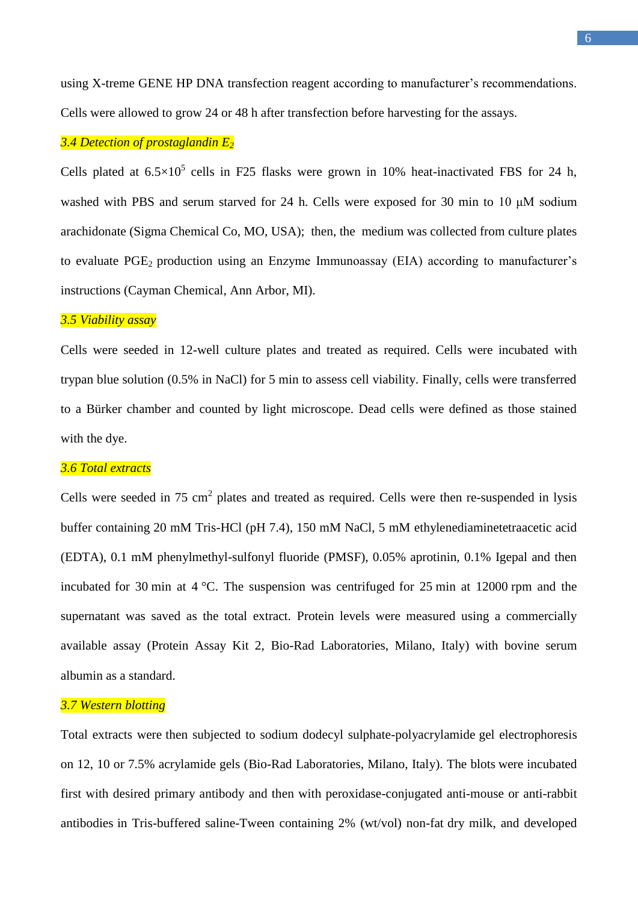using X-treme GENE HP DNA transfection reagent according to manufacturer's recommendations. Cells were allowed to grow 24 or 48 h after transfection before harvesting for the assays.

## *3.4 Detection of prostaglandin E<sup>2</sup>*

Cells plated at  $6.5 \times 10^5$  cells in F25 flasks were grown in 10% heat-inactivated FBS for 24 h, washed with PBS and serum starved for 24 h. Cells were exposed for 30 min to 10 μM sodium arachidonate (Sigma Chemical Co, MO, USA); then, the medium was collected from culture plates to evaluate  $PGE_2$  production using an Enzyme Immunoassay (EIA) according to manufacturer's instructions (Cayman Chemical, Ann Arbor, MI).

#### *3.5 Viability assay*

Cells were seeded in 12-well culture plates and treated as required. Cells were incubated with trypan blue solution (0.5% in NaCl) for 5 min to assess cell viability. Finally, cells were transferred to a Bürker chamber and counted by light microscope. Dead cells were defined as those stained with the dye.

#### *3.6 Total extracts*

Cells were seeded in  $75 \text{ cm}^2$  plates and treated as required. Cells were then re-suspended in lysis buffer containing 20 mM Tris-HCl (pH 7.4), 150 mM NaCl, 5 mM ethylenediaminetetraacetic acid (EDTA), 0.1 mM phenylmethyl-sulfonyl fluoride (PMSF), 0.05% aprotinin, 0.1% Igepal and then incubated for 30 min at 4 °C. The suspension was centrifuged for 25 min at 12000 rpm and the supernatant was saved as the total extract. Protein levels were measured using a commercially available assay (Protein Assay Kit 2, Bio-Rad Laboratories, Milano, Italy) with bovine serum albumin as a standard.

#### *3.7 Western blotting*

Total extracts were then subjected to sodium dodecyl sulphate-polyacrylamide gel electrophoresis on 12, 10 or 7.5% acrylamide gels (Bio-Rad Laboratories, Milano, Italy). The blots were incubated first with desired primary antibody and then with peroxidase-conjugated anti-mouse or anti-rabbit antibodies in Tris-buffered saline-Tween containing 2% (wt/vol) non-fat dry milk, and developed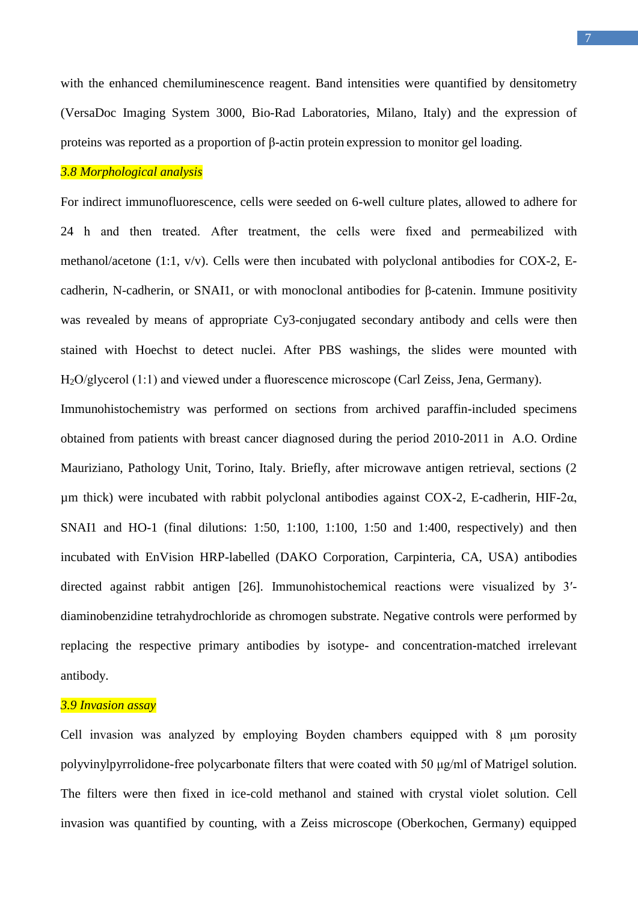with the enhanced chemiluminescence reagent. Band intensities were quantified by densitometry (VersaDoc Imaging System 3000, Bio-Rad Laboratories, Milano, Italy) and the expression of proteins was reported as a proportion of β-actin protein expression to monitor gel loading.

## *3.8 Morphological analysis*

For indirect immunofluorescence, cells were seeded on 6-well culture plates, allowed to adhere for 24 h and then treated. After treatment, the cells were fixed and permeabilized with methanol/acetone (1:1,  $v/v$ ). Cells were then incubated with polyclonal antibodies for COX-2, Ecadherin, N-cadherin, or SNAI1, or with monoclonal antibodies for β-catenin. Immune positivity was revealed by means of appropriate Cy3-conjugated secondary antibody and cells were then stained with Hoechst to detect nuclei. After PBS washings, the slides were mounted with H2O/glycerol (1:1) and viewed under a fluorescence microscope (Carl Zeiss, Jena, Germany).

Immunohistochemistry was performed on sections from archived paraffin-included specimens obtained from patients with breast cancer diagnosed during the period 2010-2011 in A.O. Ordine Mauriziano, Pathology Unit, Torino, Italy. Briefly, after microwave antigen retrieval, sections (2 μm thick) were incubated with rabbit polyclonal antibodies against COX-2, E-cadherin, HIF-2α, SNAI1 and HO-1 (final dilutions: 1:50, 1:100, 1:100, 1:50 and 1:400, respectively) and then incubated with EnVision HRP-labelled (DAKO Corporation, Carpinteria, CA, USA) antibodies directed against rabbit antigen [26]. Immunohistochemical reactions were visualized by 3′ diaminobenzidine tetrahydrochloride as chromogen substrate. Negative controls were performed by replacing the respective primary antibodies by isotype- and concentration-matched irrelevant antibody.

#### *3.9 Invasion assay*

Cell invasion was analyzed by employing Boyden chambers equipped with 8 μm porosity polyvinylpyrrolidone-free polycarbonate filters that were coated with 50 μg/ml of Matrigel solution. The filters were then fixed in ice-cold methanol and stained with crystal violet solution. Cell invasion was quantified by counting, with a Zeiss microscope (Oberkochen, Germany) equipped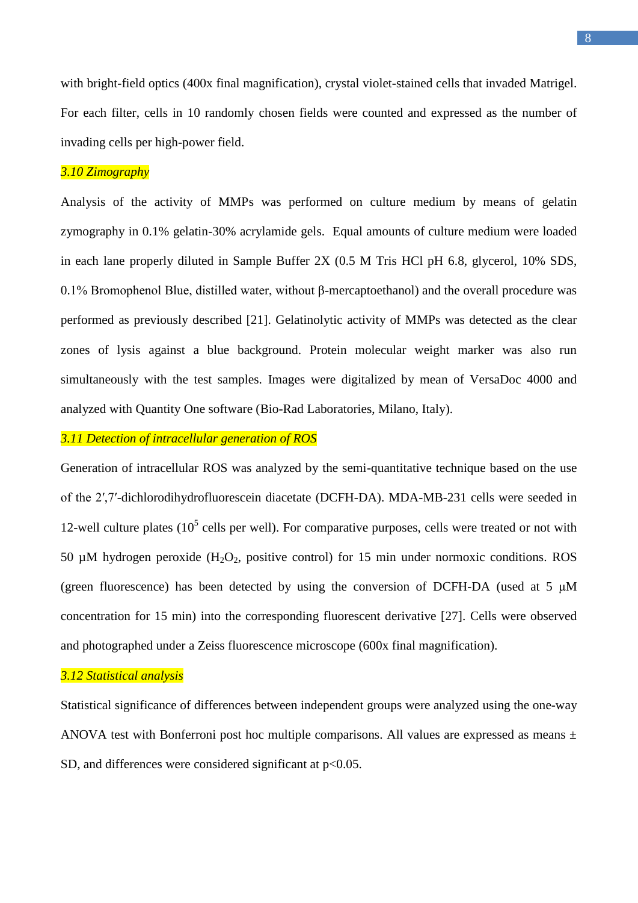with bright-field optics (400x final magnification), crystal violet-stained cells that invaded Matrigel. For each filter, cells in 10 randomly chosen fields were counted and expressed as the number of invading cells per high-power field.

## *3.10 Zimography*

Analysis of the activity of MMPs was performed on culture medium by means of gelatin zymography in 0.1% gelatin-30% acrylamide gels. Equal amounts of culture medium were loaded in each lane properly diluted in Sample Buffer 2X (0.5 M Tris HCl pH 6.8, glycerol, 10% SDS, 0.1% Bromophenol Blue, distilled water, without β-mercaptoethanol) and the overall procedure was performed as previously described [21]. Gelatinolytic activity of MMPs was detected as the clear zones of lysis against a blue background. Protein molecular weight marker was also run simultaneously with the test samples. Images were digitalized by mean of VersaDoc 4000 and analyzed with Quantity One software (Bio-Rad Laboratories, Milano, Italy).

## *3.11 Detection of intracellular generation of ROS*

Generation of intracellular ROS was analyzed by the semi-quantitative technique based on the use of the 2′,7′-dichlorodihydrofluorescein diacetate (DCFH-DA). MDA-MB-231 cells were seeded in 12-well culture plates  $(10<sup>5</sup>$  cells per well). For comparative purposes, cells were treated or not with 50  $\mu$ M hydrogen peroxide (H<sub>2</sub>O<sub>2</sub>, positive control) for 15 min under normoxic conditions. ROS (green fluorescence) has been detected by using the conversion of DCFH-DA (used at 5 μM concentration for 15 min) into the corresponding fluorescent derivative [27]. Cells were observed and photographed under a Zeiss fluorescence microscope (600x final magnification).

#### *3.12 Statistical analysis*

Statistical significance of differences between independent groups were analyzed using the one-way ANOVA test with Bonferroni post hoc multiple comparisons. All values are expressed as means  $\pm$ SD, and differences were considered significant at  $p<0.05$ .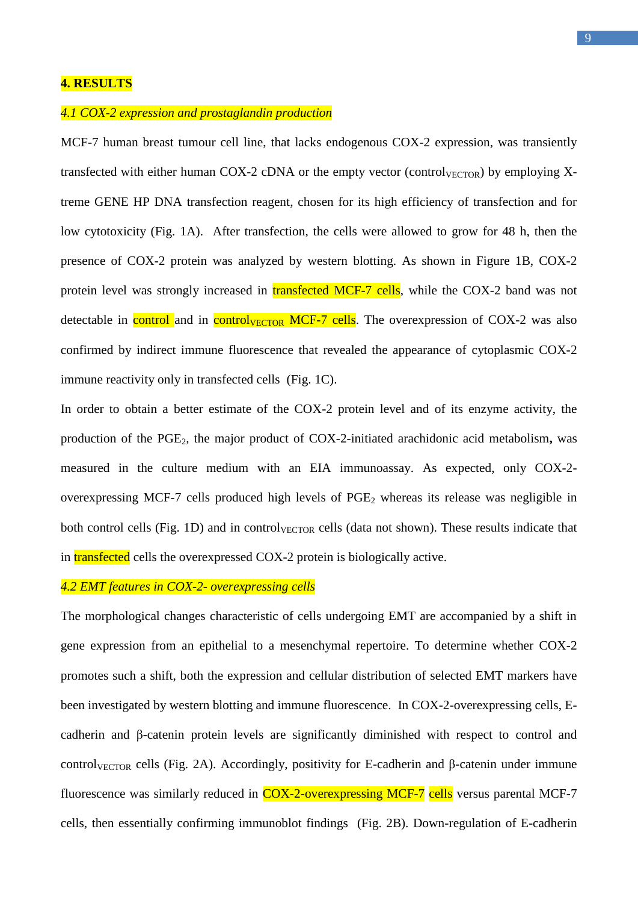## **4. RESULTS**

## *4.1 COX-2 expression and prostaglandin production*

MCF-7 human breast tumour cell line, that lacks endogenous COX-2 expression, was transiently transfected with either human COX-2 cDNA or the empty vector (control $_{VECTOR}$ ) by employing Xtreme GENE HP DNA transfection reagent, chosen for its high efficiency of transfection and for low cytotoxicity (Fig. 1A). After transfection, the cells were allowed to grow for 48 h, then the presence of COX-2 protein was analyzed by western blotting. As shown in Figure 1B, COX-2 protein level was strongly increased in **transfected MCF-7 cells**, while the COX-2 band was not detectable in control and in control<sub>VECTOR</sub> MCF-7 cells. The overexpression of COX-2 was also confirmed by indirect immune fluorescence that revealed the appearance of cytoplasmic COX-2 immune reactivity only in transfected cells (Fig. 1C).

In order to obtain a better estimate of the COX-2 protein level and of its enzyme activity, the production of the PGE2, the major product of COX-2-initiated arachidonic acid metabolism**,** was measured in the culture medium with an EIA immunoassay. As expected, only COX-2 overexpressing MCF-7 cells produced high levels of  $PGE<sub>2</sub>$  whereas its release was negligible in both control cells (Fig. 1D) and in control $_{VECTOR}$  cells (data not shown). These results indicate that in transfected cells the overexpressed COX-2 protein is biologically active.

## *4.2 EMT features in COX-2- overexpressing cells*

The morphological changes characteristic of cells undergoing EMT are accompanied by a shift in gene expression from an epithelial to a mesenchymal repertoire. To determine whether COX-2 promotes such a shift, both the expression and cellular distribution of selected EMT markers have been investigated by western blotting and immune fluorescence. In COX-2-overexpressing cells, Ecadherin and β-catenin protein levels are significantly diminished with respect to control and control<sub>VECTOR</sub> cells (Fig. 2A). Accordingly, positivity for E-cadherin and β-catenin under immune fluorescence was similarly reduced in COX-2-overexpressing MCF-7 cells versus parental MCF-7 cells, then essentially confirming immunoblot findings (Fig. 2B). Down-regulation of E-cadherin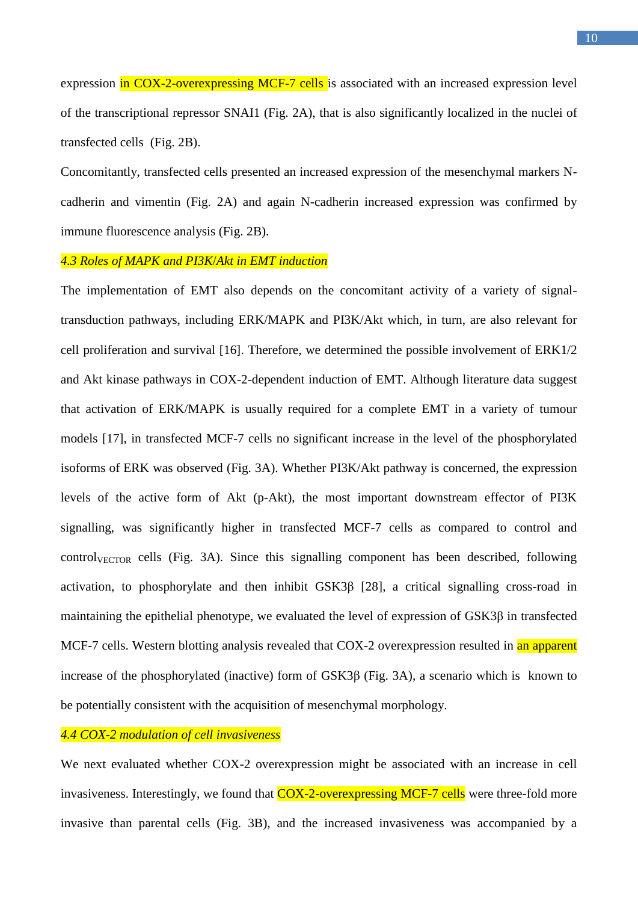expression in COX-2-overexpressing MCF-7 cells is associated with an increased expression level of the transcriptional repressor SNAI1 (Fig. 2A), that is also significantly localized in the nuclei of transfected cells (Fig. 2B).

Concomitantly, transfected cells presented an increased expression of the mesenchymal markers Ncadherin and vimentin (Fig. 2A) and again N-cadherin increased expression was confirmed by immune fluorescence analysis (Fig. 2B).

#### *4.3 Roles of MAPK and PI3K*/*Akt in EMT induction*

The implementation of EMT also depends on the concomitant activity of a variety of signaltransduction pathways, including ERK/MAPK and PI3K/Akt which, in turn, are also relevant for cell proliferation and survival [16]. Therefore, we determined the possible involvement of ERK1/2 and Akt kinase pathways in COX-2-dependent induction of EMT. Although literature data suggest that activation of ERK/MAPK is usually required for a complete EMT in a variety of tumour models [17], in transfected MCF-7 cells no significant increase in the level of the phosphorylated isoforms of ERK was observed (Fig. 3A). Whether PI3K/Akt pathway is concerned, the expression levels of the active form of Akt (p-Akt), the most important downstream effector of PI3K signalling, was significantly higher in transfected MCF-7 cells as compared to control and  $control<sub>VECTOR</sub>$  cells (Fig. 3A). Since this signalling component has been described, following activation, to phosphorylate and then inhibit GSK3β [28], a critical signalling cross-road in maintaining the epithelial phenotype, we evaluated the level of expression of GSK3β in transfected MCF-7 cells. Western blotting analysis revealed that COX-2 overexpression resulted in an apparent increase of the phosphorylated (inactive) form of GSK3β (Fig. 3A), a scenario which is known to be potentially consistent with the acquisition of mesenchymal morphology.

## *4.4 COX-2 modulation of cell invasiveness*

We next evaluated whether COX-2 overexpression might be associated with an increase in cell invasiveness. Interestingly, we found that COX-2-overexpressing MCF-7 cells were three-fold more invasive than parental cells (Fig. 3B), and the increased invasiveness was accompanied by a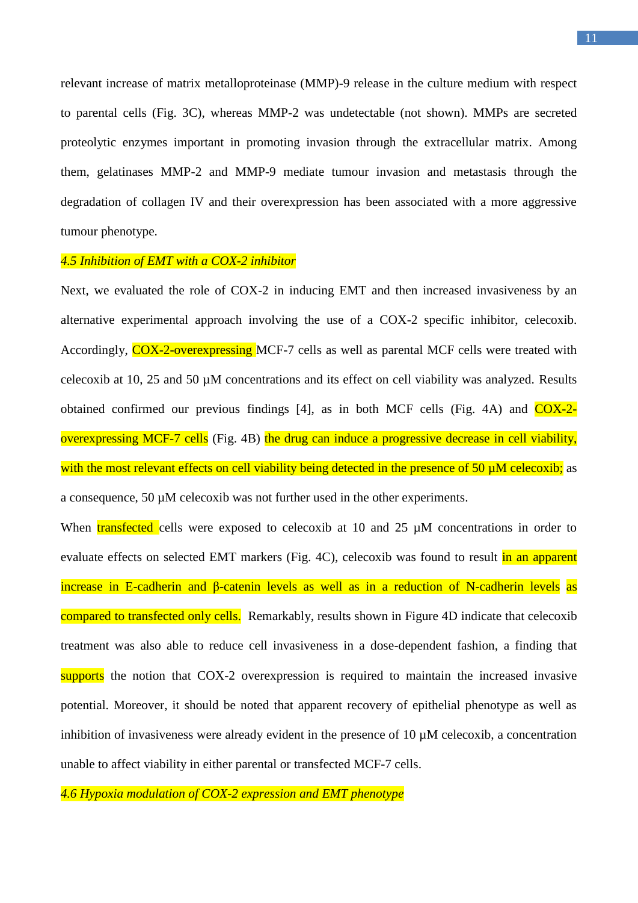relevant increase of matrix metalloproteinase (MMP)-9 release in the culture medium with respect to parental cells (Fig. 3C), whereas MMP-2 was undetectable (not shown). MMPs are secreted proteolytic enzymes important in promoting invasion through the extracellular matrix. Among them, gelatinases MMP-2 and MMP-9 mediate tumour invasion and metastasis through the degradation of collagen IV and their overexpression has been associated with a more aggressive tumour phenotype.

#### *4.5 Inhibition of EMT with a COX-2 inhibitor*

Next, we evaluated the role of COX-2 in inducing EMT and then increased invasiveness by an alternative experimental approach involving the use of a COX-2 specific inhibitor, celecoxib. Accordingly, COX-2-overexpressing MCF-7 cells as well as parental MCF cells were treated with celecoxib at 10, 25 and 50 µM concentrations and its effect on cell viability was analyzed. Results obtained confirmed our previous findings  $[4]$ , as in both MCF cells (Fig. 4A) and  $\overline{COX-2}$ overexpressing MCF-7 cells (Fig. 4B) the drug can induce a progressive decrease in cell viability, with the most relevant effects on cell viability being detected in the presence of 50  $\mu$ M celecoxib; as a consequence, 50 µM celecoxib was not further used in the other experiments.

When **transfected** cells were exposed to celecoxib at 10 and 25  $\mu$ M concentrations in order to evaluate effects on selected EMT markers (Fig. 4C), celecoxib was found to result in an apparent increase in E-cadherin and β-catenin levels as well as in a reduction of N-cadherin levels as compared to transfected only cells. Remarkably, results shown in Figure 4D indicate that celecoxib treatment was also able to reduce cell invasiveness in a dose-dependent fashion, a finding that supports the notion that COX-2 overexpression is required to maintain the increased invasive potential. Moreover, it should be noted that apparent recovery of epithelial phenotype as well as inhibition of invasiveness were already evident in the presence of 10 µM celecoxib, a concentration unable to affect viability in either parental or transfected MCF-7 cells.

*4.6 Hypoxia modulation of COX-2 expression and EMT phenotype*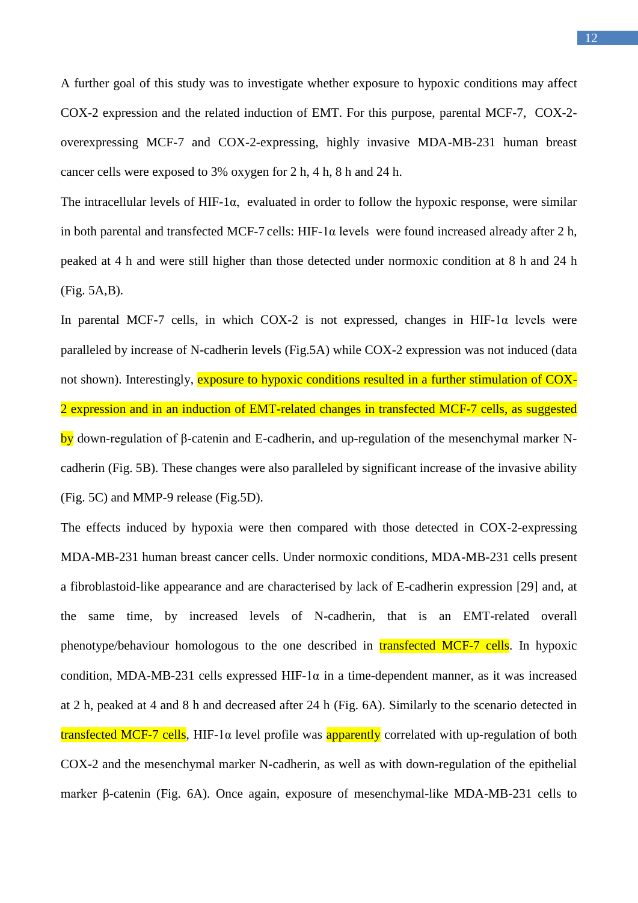A further goal of this study was to investigate whether exposure to hypoxic conditions may affect COX-2 expression and the related induction of EMT. For this purpose, parental MCF-7, COX-2 overexpressing MCF-7 and COX-2-expressing, highly invasive MDA-MB-231 human breast cancer cells were exposed to 3% oxygen for 2 h, 4 h, 8 h and 24 h.

The intracellular levels of HIF-1 $\alpha$ , evaluated in order to follow the hypoxic response, were similar in both parental and transfected MCF-7 cells: HIF-1 $\alpha$  levels were found increased already after 2 h, peaked at 4 h and were still higher than those detected under normoxic condition at 8 h and 24 h (Fig. 5A,B).

In parental MCF-7 cells, in which COX-2 is not expressed, changes in HIF-1 $\alpha$  levels were paralleled by increase of N-cadherin levels (Fig.5A) while COX-2 expression was not induced (data not shown). Interestingly, exposure to hypoxic conditions resulted in a further stimulation of COX-2 expression and in an induction of EMT-related changes in transfected MCF-7 cells, as suggested by down-regulation of β-catenin and E-cadherin, and up-regulation of the mesenchymal marker Ncadherin (Fig. 5B). These changes were also paralleled by significant increase of the invasive ability (Fig. 5C) and MMP-9 release (Fig.5D).

The effects induced by hypoxia were then compared with those detected in COX-2-expressing MDA-MB-231 human breast cancer cells. Under normoxic conditions, MDA-MB-231 cells present a fibroblastoid-like appearance and are characterised by lack of E-cadherin expression [29] and, at the same time, by increased levels of N-cadherin, that is an EMT-related overall phenotype/behaviour homologous to the one described in transfected MCF-7 cells. In hypoxic condition, MDA-MB-231 cells expressed HIF-1 $\alpha$  in a time-dependent manner, as it was increased at 2 h, peaked at 4 and 8 h and decreased after 24 h (Fig. 6A). Similarly to the scenario detected in **transfected MCF-7 cells**, HIF-1α level profile was **apparently** correlated with up-regulation of both COX-2 and the mesenchymal marker N-cadherin, as well as with down-regulation of the epithelial marker β-catenin (Fig. 6A). Once again, exposure of mesenchymal-like MDA-MB-231 cells to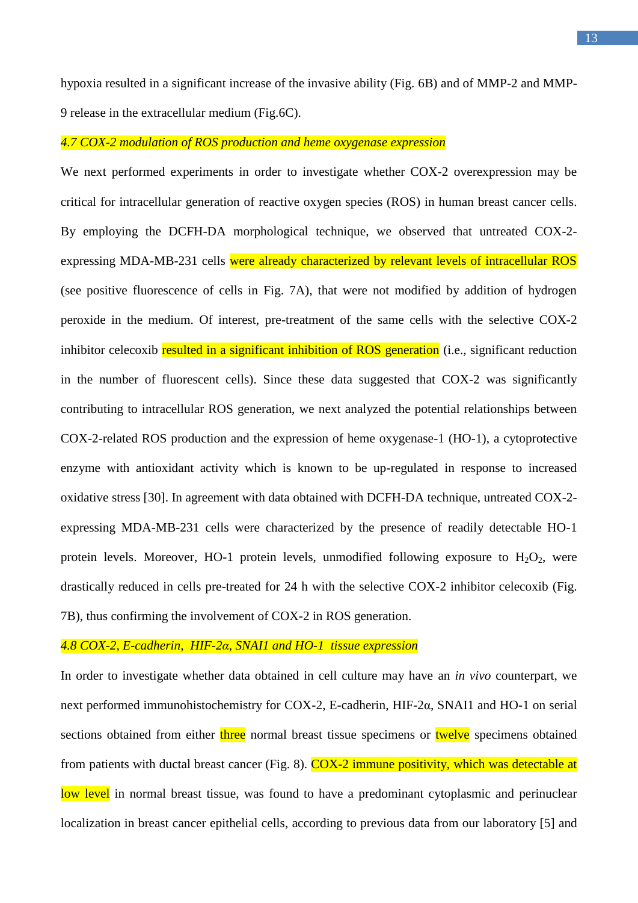hypoxia resulted in a significant increase of the invasive ability (Fig. 6B) and of MMP-2 and MMP-9 release in the extracellular medium (Fig.6C).

#### *4.7 COX-2 modulation of ROS production and heme oxygenase expression*

We next performed experiments in order to investigate whether COX-2 overexpression may be critical for intracellular generation of reactive oxygen species (ROS) in human breast cancer cells. By employing the DCFH-DA morphological technique, we observed that untreated COX-2 expressing MDA-MB-231 cells were already characterized by relevant levels of intracellular ROS (see positive fluorescence of cells in Fig. 7A), that were not modified by addition of hydrogen peroxide in the medium. Of interest, pre-treatment of the same cells with the selective COX-2 inhibitor celecoxib resulted in a significant inhibition of ROS generation (i.e., significant reduction in the number of fluorescent cells). Since these data suggested that COX-2 was significantly contributing to intracellular ROS generation, we next analyzed the potential relationships between COX-2-related ROS production and the expression of heme oxygenase-1 (HO-1), a cytoprotective enzyme with antioxidant activity which is known to be up-regulated in response to increased oxidative stress [30]. In agreement with data obtained with DCFH-DA technique, untreated COX-2 expressing MDA-MB-231 cells were characterized by the presence of readily detectable HO-1 protein levels. Moreover, HO-1 protein levels, unmodified following exposure to  $H_2O_2$ , were drastically reduced in cells pre-treated for 24 h with the selective COX-2 inhibitor celecoxib (Fig. 7B), thus confirming the involvement of COX-2 in ROS generation.

#### *4.8 COX-2, E-cadherin, HIF-2α, SNAI1 and HO-1 tissue expression*

In order to investigate whether data obtained in cell culture may have an *in vivo* counterpart, we next performed immunohistochemistry for COX-2, E-cadherin, HIF-2α, SNAI1 and HO-1 on serial sections obtained from either three normal breast tissue specimens or twelve specimens obtained from patients with ductal breast cancer (Fig. 8). COX-2 immune positivity, which was detectable at low level in normal breast tissue, was found to have a predominant cytoplasmic and perinuclear localization in breast cancer epithelial cells, according to previous data from our laboratory [5] and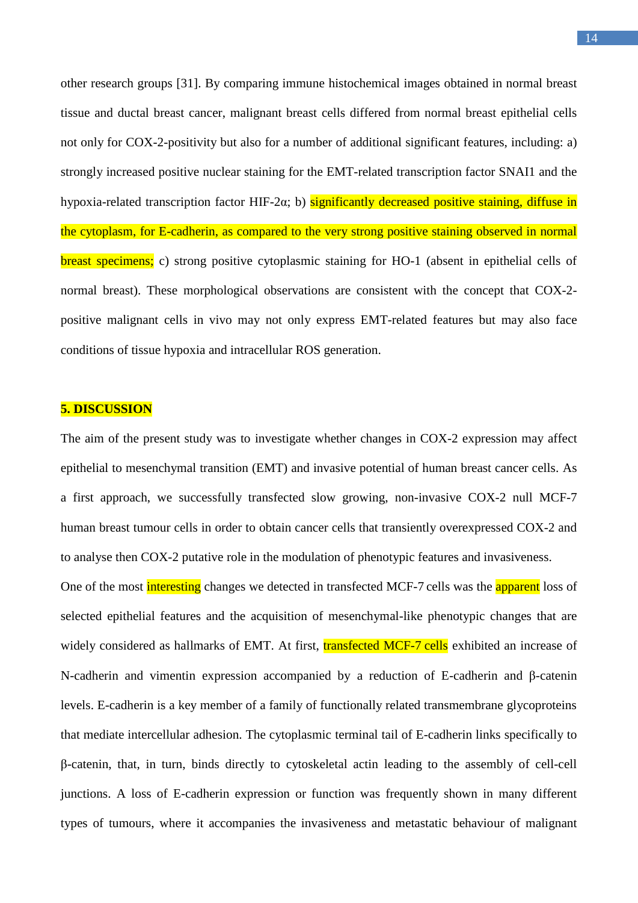other research groups [31]. By comparing immune histochemical images obtained in normal breast tissue and ductal breast cancer, malignant breast cells differed from normal breast epithelial cells not only for COX-2-positivity but also for a number of additional significant features, including: a) strongly increased positive nuclear staining for the EMT-related transcription factor SNAI1 and the hypoxia-related transcription factor HIF-2 $\alpha$ ; b) significantly decreased positive staining, diffuse in the cytoplasm, for E-cadherin, as compared to the very strong positive staining observed in normal breast specimens; c) strong positive cytoplasmic staining for HO-1 (absent in epithelial cells of normal breast). These morphological observations are consistent with the concept that COX-2 positive malignant cells in vivo may not only express EMT-related features but may also face conditions of tissue hypoxia and intracellular ROS generation.

#### **5. DISCUSSION**

The aim of the present study was to investigate whether changes in COX-2 expression may affect epithelial to mesenchymal transition (EMT) and invasive potential of human breast cancer cells. As a first approach, we successfully transfected slow growing, non-invasive COX-2 null MCF-7 human breast tumour cells in order to obtain cancer cells that transiently overexpressed COX-2 and to analyse then COX-2 putative role in the modulation of phenotypic features and invasiveness.

One of the most interesting changes we detected in transfected MCF-7 cells was the **apparent** loss of selected epithelial features and the acquisition of mesenchymal-like phenotypic changes that are widely considered as hallmarks of EMT. At first, **transfected MCF-7 cells** exhibited an increase of N-cadherin and vimentin expression accompanied by a reduction of E-cadherin and β-catenin levels. E-cadherin is a key member of a family of functionally related transmembrane glycoproteins that mediate intercellular adhesion. The cytoplasmic terminal tail of E-cadherin links specifically to β-catenin, that, in turn, binds directly to cytoskeletal actin leading to the assembly of cell-cell junctions. A loss of E-cadherin expression or function was frequently shown in many different types of tumours, where it accompanies the invasiveness and metastatic behaviour of malignant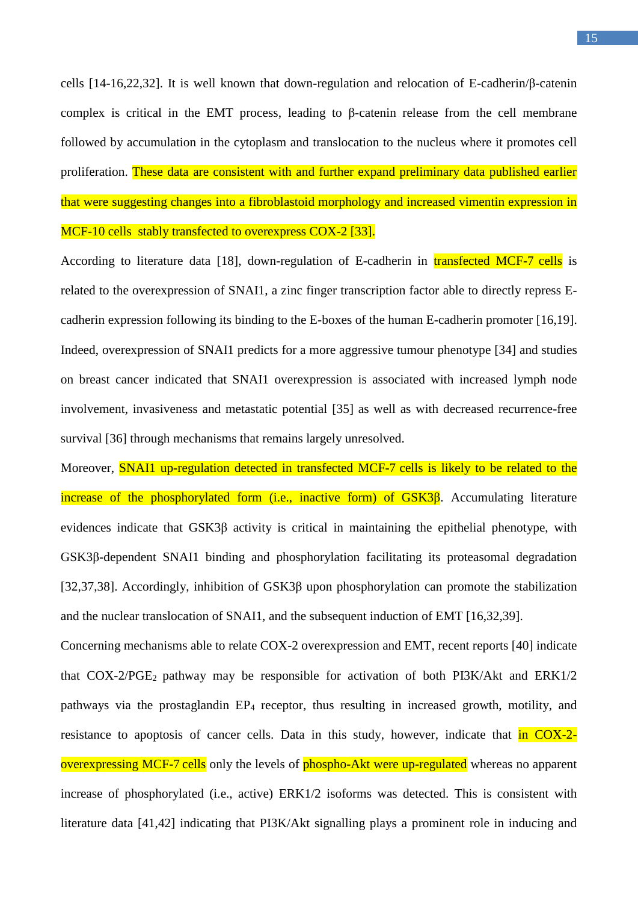cells [14-16,22,32]. It is well known that down-regulation and relocation of E-cadherin/β-catenin complex is critical in the EMT process, leading to β-catenin release from the cell membrane followed by accumulation in the cytoplasm and translocation to the nucleus where it promotes cell proliferation. These data are consistent with and further expand preliminary data published earlier that were suggesting changes into a fibroblastoid morphology and increased vimentin expression in MCF-10 cells stably transfected to overexpress COX-2 [33].

According to literature data [18], down-regulation of E-cadherin in transfected MCF-7 cells is related to the overexpression of SNAI1, a zinc finger transcription factor able to directly repress Ecadherin expression following its binding to the E-boxes of the human E-cadherin promoter [16,19]. Indeed, overexpression of SNAI1 predicts for a more aggressive tumour phenotype [34] and studies on breast cancer indicated that SNAI1 overexpression is associated with increased lymph node involvement, invasiveness and metastatic potential [35] as well as with decreased recurrence-free survival [36] through mechanisms that remains largely unresolved.

Moreover, **SNAI1** up-regulation detected in transfected MCF-7 cells is likely to be related to the increase of the phosphorylated form (i.e., inactive form) of  $GSK3\beta$ . Accumulating literature evidences indicate that GSK3β activity is critical in maintaining the epithelial phenotype, with GSK3β-dependent SNAI1 binding and phosphorylation facilitating its proteasomal degradation [32,37,38]. Accordingly, inhibition of GSK3β upon phosphorylation can promote the stabilization and the nuclear translocation of SNAI1, and the subsequent induction of EMT [16,32,39].

Concerning mechanisms able to relate COX-2 overexpression and EMT, recent reports [40] indicate that  $COX-2/PGE_2$  pathway may be responsible for activation of both  $PI3K/Akt$  and  $ERK1/2$ pathways via the prostaglandin EP<sub>4</sub> receptor, thus resulting in increased growth, motility, and resistance to apoptosis of cancer cells. Data in this study, however, indicate that in COX-2overexpressing MCF-7 cells only the levels of phospho-Akt were up-regulated whereas no apparent increase of phosphorylated (i.e., active) ERK1/2 isoforms was detected. This is consistent with literature data [41,42] indicating that PI3K/Akt signalling plays a prominent role in inducing and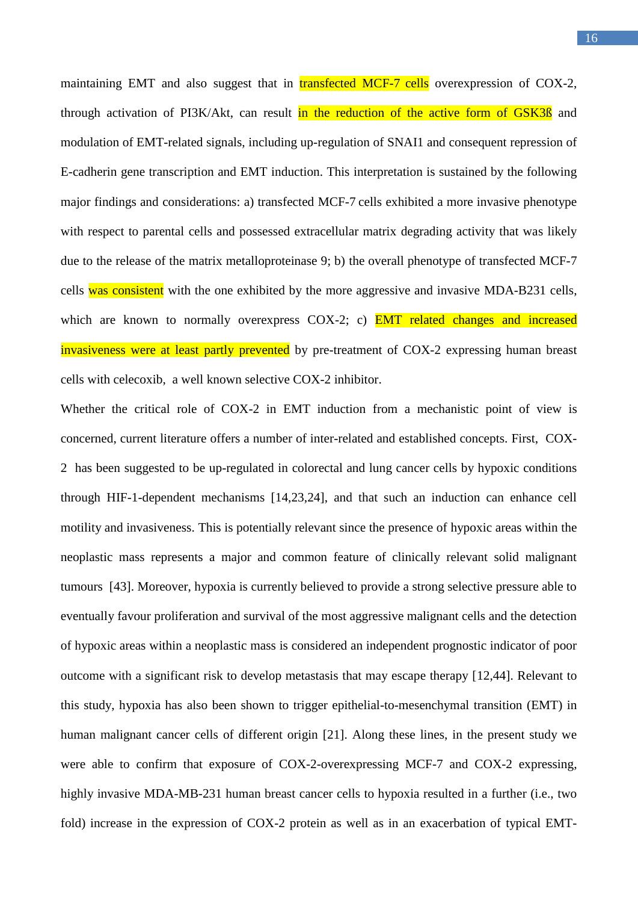maintaining EMT and also suggest that in **transfected MCF-7 cells** overexpression of COX-2, through activation of PI3K/Akt, can result in the reduction of the active form of GSK3B and modulation of EMT-related signals, including up-regulation of SNAI1 and consequent repression of E-cadherin gene transcription and EMT induction. This interpretation is sustained by the following major findings and considerations: a) transfected MCF-7 cells exhibited a more invasive phenotype with respect to parental cells and possessed extracellular matrix degrading activity that was likely due to the release of the matrix metalloproteinase 9; b) the overall phenotype of transfected MCF-7 cells was consistent with the one exhibited by the more aggressive and invasive MDA-B231 cells, which are known to normally overexpress COX-2; c) **EMT** related changes and increased invasiveness were at least partly prevented by pre-treatment of COX-2 expressing human breast cells with celecoxib, a well known selective COX-2 inhibitor.

Whether the critical role of COX-2 in EMT induction from a mechanistic point of view is concerned, current literature offers a number of inter-related and established concepts. First, COX-2 has been suggested to be up-regulated in colorectal and lung cancer cells by hypoxic conditions through HIF-1-dependent mechanisms [14,23,24], and that such an induction can enhance cell motility and invasiveness. This is potentially relevant since the presence of hypoxic areas within the neoplastic mass represents a major and common feature of clinically relevant solid malignant tumours [43]. Moreover, hypoxia is currently believed to provide a strong selective pressure able to eventually favour proliferation and survival of the most aggressive malignant cells and the detection of hypoxic areas within a neoplastic mass is considered an independent prognostic indicator of poor outcome with a significant risk to develop metastasis that may escape therapy [12,44]. Relevant to this study, hypoxia has also been shown to trigger epithelial-to-mesenchymal transition (EMT) in human malignant cancer cells of different origin [21]. Along these lines, in the present study we were able to confirm that exposure of COX-2-overexpressing MCF-7 and COX-2 expressing, highly invasive MDA-MB-231 human breast cancer cells to hypoxia resulted in a further (i.e., two fold) increase in the expression of COX-2 protein as well as in an exacerbation of typical EMT-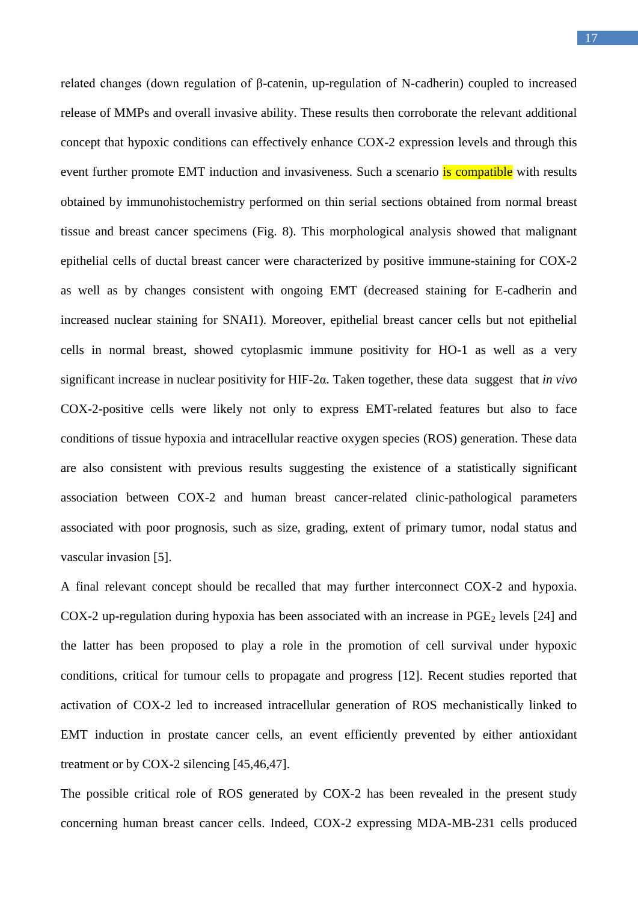related changes (down regulation of β-catenin, up-regulation of N-cadherin) coupled to increased release of MMPs and overall invasive ability. These results then corroborate the relevant additional concept that hypoxic conditions can effectively enhance COX-2 expression levels and through this event further promote EMT induction and invasiveness. Such a scenario is compatible with results obtained by immunohistochemistry performed on thin serial sections obtained from normal breast tissue and breast cancer specimens (Fig. 8). This morphological analysis showed that malignant epithelial cells of ductal breast cancer were characterized by positive immune-staining for COX-2 as well as by changes consistent with ongoing EMT (decreased staining for E-cadherin and increased nuclear staining for SNAI1). Moreover, epithelial breast cancer cells but not epithelial cells in normal breast, showed cytoplasmic immune positivity for HO-1 as well as a very significant increase in nuclear positivity for HIF-2α. Taken together, these data suggest that *in vivo*  COX-2-positive cells were likely not only to express EMT-related features but also to face conditions of tissue hypoxia and intracellular reactive oxygen species (ROS) generation. These data are also consistent with previous results suggesting the existence of a statistically significant association between COX-2 and human breast cancer-related clinic-pathological parameters associated with poor prognosis, such as size, grading, extent of primary tumor, nodal status and vascular invasion [5].

A final relevant concept should be recalled that may further interconnect COX-2 and hypoxia. COX-2 up-regulation during hypoxia has been associated with an increase in  $PGE<sub>2</sub>$  levels [24] and the latter has been proposed to play a role in the promotion of cell survival under hypoxic conditions, critical for tumour cells to propagate and progress [12]. Recent studies reported that activation of COX-2 led to increased intracellular generation of ROS mechanistically linked to EMT induction in prostate cancer cells, an event efficiently prevented by either antioxidant treatment or by COX-2 silencing [45,46,47].

The possible critical role of ROS generated by COX-2 has been revealed in the present study concerning human breast cancer cells. Indeed, COX-2 expressing MDA-MB-231 cells produced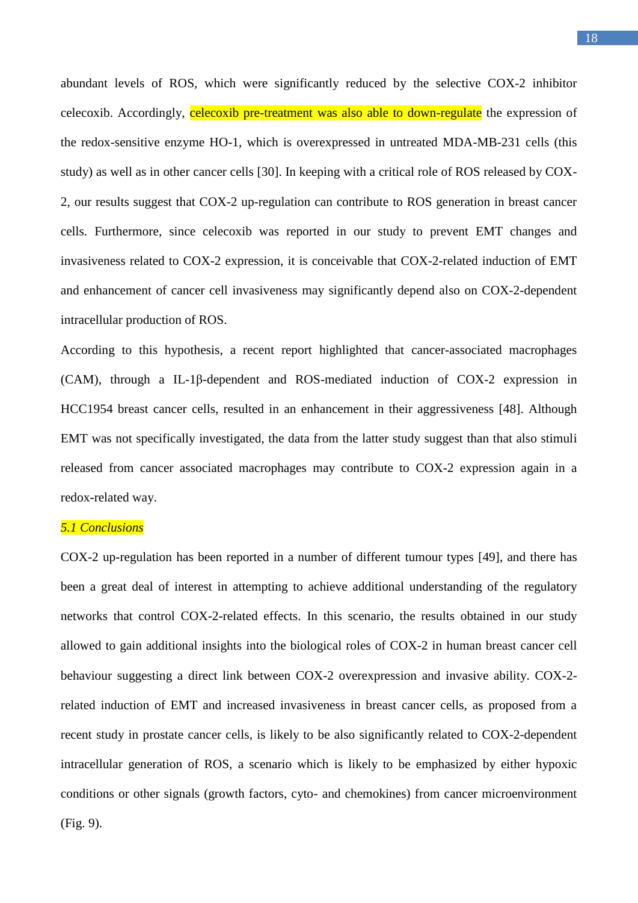abundant levels of ROS, which were significantly reduced by the selective COX-2 inhibitor celecoxib. Accordingly, celecoxib pre-treatment was also able to down-regulate the expression of the redox-sensitive enzyme HO-1, which is overexpressed in untreated MDA-MB-231 cells (this study) as well as in other cancer cells [30]. In keeping with a critical role of ROS released by COX-2, our results suggest that COX-2 up-regulation can contribute to ROS generation in breast cancer cells. Furthermore, since celecoxib was reported in our study to prevent EMT changes and invasiveness related to COX-2 expression, it is conceivable that COX-2-related induction of EMT and enhancement of cancer cell invasiveness may significantly depend also on COX-2-dependent intracellular production of ROS.

According to this hypothesis, a recent report highlighted that cancer-associated macrophages (CAM), through a IL-1β-dependent and ROS-mediated induction of COX-2 expression in HCC1954 breast cancer cells, resulted in an enhancement in their aggressiveness [48]. Although EMT was not specifically investigated, the data from the latter study suggest than that also stimuli released from cancer associated macrophages may contribute to COX-2 expression again in a redox-related way.

## *5.1 Conclusions*

COX-2 up-regulation has been reported in a number of different tumour types [49], and there has been a great deal of interest in attempting to achieve additional understanding of the regulatory networks that control COX-2-related effects. In this scenario, the results obtained in our study allowed to gain additional insights into the biological roles of COX-2 in human breast cancer cell behaviour suggesting a direct link between COX-2 overexpression and invasive ability. COX-2 related induction of EMT and increased invasiveness in breast cancer cells, as proposed from a recent study in prostate cancer cells, is likely to be also significantly related to COX-2-dependent intracellular generation of ROS, a scenario which is likely to be emphasized by either hypoxic conditions or other signals (growth factors, cyto- and chemokines) from cancer microenvironment (Fig. 9).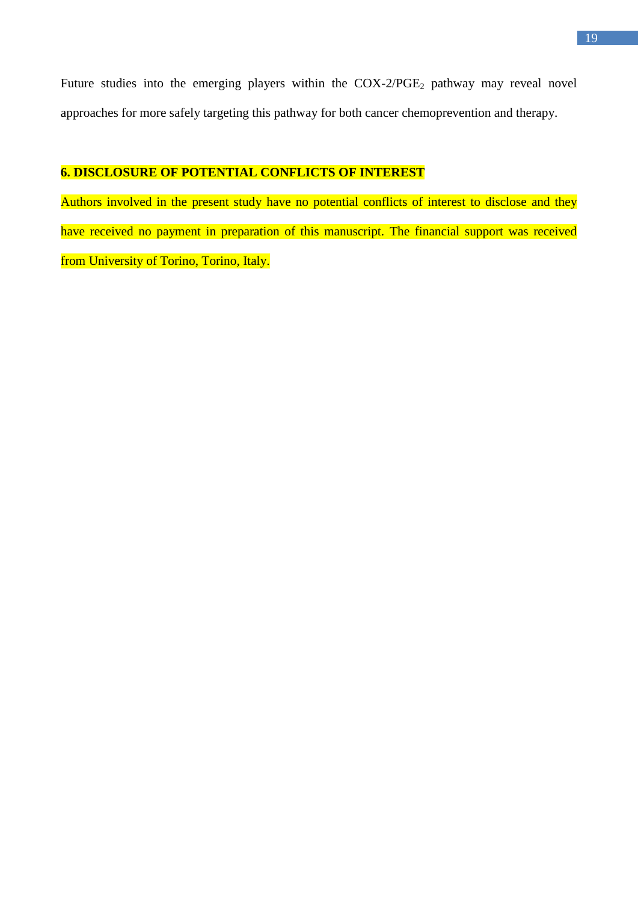Future studies into the emerging players within the COX-2/PGE<sub>2</sub> pathway may reveal novel approaches for more safely targeting this pathway for both cancer chemoprevention and therapy.

## **6. DISCLOSURE OF POTENTIAL CONFLICTS OF INTEREST**

Authors involved in the present study have no potential conflicts of interest to disclose and they have received no payment in preparation of this manuscript. The financial support was received from University of Torino, Torino, Italy.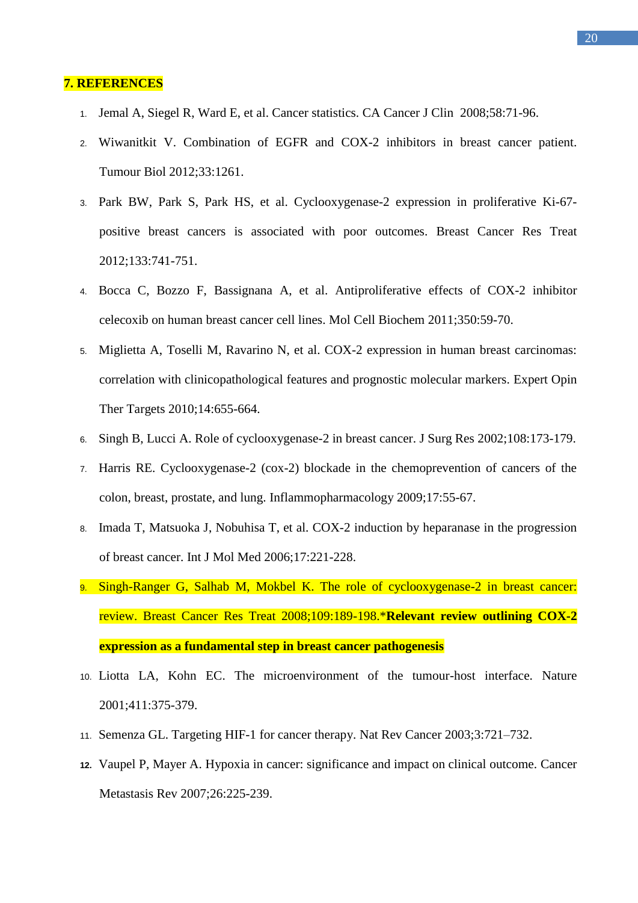## **7. REFERENCES**

- 1. [Jemal](http://www.ncbi.nlm.nih.gov/pubmed?term=Jemal%20A%5BAuthor%5D&cauthor=true&cauthor_uid=18287387) A, [Siegel R,](http://www.ncbi.nlm.nih.gov/pubmed?term=Siegel%20R%5BAuthor%5D&cauthor=true&cauthor_uid=18287387) [Ward E,](http://www.ncbi.nlm.nih.gov/pubmed?term=Ward%20E%5BAuthor%5D&cauthor=true&cauthor_uid=18287387) et al. Cancer statistics. CA Cancer J Clin 2008;58:71-96.
- 2. Wiwanitkit V. [Combination of EGFR and COX-2](http://www.ncbi.nlm.nih.gov/pubmed/22362382) inhibitors in breast cancer patient. Tumour Biol 2012;33:1261.
- 3. [Park BW,](http://www.ncbi.nlm.nih.gov/pubmed?term=Park%20BW%5BAuthor%5D&cauthor=true&cauthor_uid=22286316) [Park S,](http://www.ncbi.nlm.nih.gov/pubmed?term=Park%20S%5BAuthor%5D&cauthor=true&cauthor_uid=22286316) [Park HS,](http://www.ncbi.nlm.nih.gov/pubmed?term=Park%20HS%5BAuthor%5D&cauthor=true&cauthor_uid=22286316) et al. [Cyclooxygenase-2 expression in proliferative Ki-67](http://www.ncbi.nlm.nih.gov/pubmed/22286316) positive breast [cancers is associated with poor outcomes.](http://www.ncbi.nlm.nih.gov/pubmed/22286316) Breast Cancer Res Treat 2012;133:741-751.
- 4. [Bocca C,](http://www.ncbi.nlm.nih.gov/pubmed?term=Bocca%20C%5BAuthor%5D&cauthor=true&cauthor_uid=21140284) [Bozzo F,](http://www.ncbi.nlm.nih.gov/pubmed?term=Bozzo%20F%5BAuthor%5D&cauthor=true&cauthor_uid=21140284) [Bassignana A,](http://www.ncbi.nlm.nih.gov/pubmed?term=Bassignana%20A%5BAuthor%5D&cauthor=true&cauthor_uid=21140284) [et](http://www.ncbi.nlm.nih.gov/pubmed?term=Miglietta%20A%5BAuthor%5D&cauthor=true&cauthor_uid=21140284) al. [Antiproliferative effects of COX-2 inhibitor](http://www.ncbi.nlm.nih.gov/pubmed/21140284)  [celecoxib on human breast cancer cell lines.](http://www.ncbi.nlm.nih.gov/pubmed/21140284) Mol Cell Biochem 2011;350:59-70.
- 5. [Miglietta A,](http://www.ncbi.nlm.nih.gov/pubmed?term=Miglietta%20A%5BAuthor%5D&cauthor=true&cauthor_uid=20536410) [Toselli M,](http://www.ncbi.nlm.nih.gov/pubmed?term=Toselli%20M%5BAuthor%5D&cauthor=true&cauthor_uid=20536410) [Ravarino N,](http://www.ncbi.nlm.nih.gov/pubmed?term=Ravarino%20N%5BAuthor%5D&cauthor=true&cauthor_uid=20536410) et al. [COX-2 expression in human breast carcinomas:](http://www.ncbi.nlm.nih.gov/pubmed/20536410)  [correlation with clinicopathological features and prognostic molecular markers.](http://www.ncbi.nlm.nih.gov/pubmed/20536410) Expert Opin Ther Targets 2010;14:655-664.
- 6. [Singh B,](http://www.ncbi.nlm.nih.gov/pubmed?term=Singh%20B%5BAuthor%5D&cauthor=true&cauthor_uid=12472107) [Lucci A.](http://www.ncbi.nlm.nih.gov/pubmed?term=Lucci%20A%5BAuthor%5D&cauthor=true&cauthor_uid=12472107) Role of cyclooxygenase-2 in breast cancer. J Surg Res 2002;108:173-179.
- 7. Harris RE. Cyclooxygenase-2 (cox-2) blockade in the chemoprevention of cancers of the colon, breast, prostate, and lung. Inflammopharmacology 2009;17:55-67.
- 8. [Imada T,](http://www.ncbi.nlm.nih.gov/pubmed?term=Imada%20T%5BAuthor%5D&cauthor=true&cauthor_uid=16391819) [Matsuoka J,](http://www.ncbi.nlm.nih.gov/pubmed?term=Matsuoka%20J%5BAuthor%5D&cauthor=true&cauthor_uid=16391819) [Nobuhisa T,](http://www.ncbi.nlm.nih.gov/pubmed?term=Nobuhisa%20T%5BAuthor%5D&cauthor=true&cauthor_uid=16391819) et al. COX-2 induction by heparanase in the progression of breast cancer. Int J Mol Med 2006;17:221-228.
- 9. [Singh-Ranger G,](http://www.ncbi.nlm.nih.gov/pubmed?term=Singh-Ranger%20G%5BAuthor%5D&cauthor=true&cauthor_uid=17624587) [Salhab M,](http://www.ncbi.nlm.nih.gov/pubmed?term=Salhab%20M%5BAuthor%5D&cauthor=true&cauthor_uid=17624587) [Mokbel K.](http://www.ncbi.nlm.nih.gov/pubmed?term=Mokbel%20K%5BAuthor%5D&cauthor=true&cauthor_uid=17624587) The role of cyclooxygenase-2 in breast cancer: review. Breast Cancer Res Treat 2008;109:189-198.\***Relevant review outlining COX-2 expression as a fundamental step in breast cancer pathogenesis**
- 10. [Liotta LA,](http://www.ncbi.nlm.nih.gov/pubmed?term=Liotta%20LA%5BAuthor%5D&cauthor=true&cauthor_uid=11357145) [Kohn EC.](http://www.ncbi.nlm.nih.gov/pubmed?term=Kohn%20EC%5BAuthor%5D&cauthor=true&cauthor_uid=11357145) [The microenvironment of the tumour-host interface.](http://www.ncbi.nlm.nih.gov/pubmed/11357145) Nature 2001;411:375-379.
- 11. Semenza GL. Targeting HIF-1 for cancer therapy. Nat Rev Cancer 2003;3:721–732.
- **12.** [Vaupel P,](http://www.ncbi.nlm.nih.gov/pubmed?term=Vaupel%20P%5BAuthor%5D&cauthor=true&cauthor_uid=17440684) [Mayer A.](http://www.ncbi.nlm.nih.gov/pubmed?term=Mayer%20A%5BAuthor%5D&cauthor=true&cauthor_uid=17440684) Hypoxia in cancer: significance and impact on clinical outcome. Cancer Metastasis Rev 2007;26:225-239.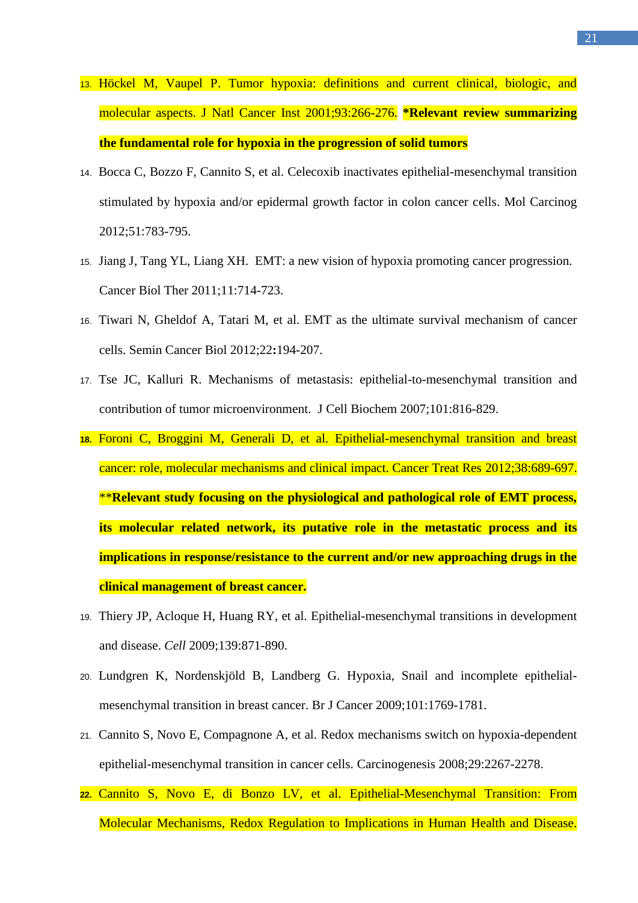- 13. [Höckel M,](http://www.ncbi.nlm.nih.gov/pubmed?term=H%C3%B6ckel%20M%5BAuthor%5D&cauthor=true&cauthor_uid=11181773) [Vaupel P.](http://www.ncbi.nlm.nih.gov/pubmed?term=Vaupel%20P%5BAuthor%5D&cauthor=true&cauthor_uid=11181773) Tumor hypoxia: definitions and current clinical, biologic, and molecular aspects. J Natl Cancer Inst 2001;93:266-276. **\*Relevant review summarizing the fundamental role for hypoxia in the progression of solid tumors**
- 14. [Bocca](http://www.ncbi.nlm.nih.gov/pubmed?term=Bocca%20C%5BAuthor%5D&cauthor=true&cauthor_uid=21882253) C, [Bozzo F,](http://www.ncbi.nlm.nih.gov/pubmed?term=Bozzo%20F%5BAuthor%5D&cauthor=true&cauthor_uid=21882253) [Cannito S,](http://www.ncbi.nlm.nih.gov/pubmed?term=Cannito%20S%5BAuthor%5D&cauthor=true&cauthor_uid=21882253) et al. [Celecoxib inactivates epithelial-mesenchymal transition](http://www.ncbi.nlm.nih.gov/pubmed/21882253)  [stimulated by hypoxia and/or epidermal growth factor in colon cancer cells.](http://www.ncbi.nlm.nih.gov/pubmed/21882253) Mol Carcinog 2012;51:783-795.
- 15. [Jiang J,](http://www.ncbi.nlm.nih.gov/pubmed?term=Jiang%20J%5BAuthor%5D&cauthor=true&cauthor_uid=21389772) [Tang YL,](http://www.ncbi.nlm.nih.gov/pubmed?term=Tang%20YL%5BAuthor%5D&cauthor=true&cauthor_uid=21389772) [Liang XH.](http://www.ncbi.nlm.nih.gov/pubmed?term=Liang%20XH%5BAuthor%5D&cauthor=true&cauthor_uid=21389772) EMT: a new vision of hypoxia promoting cancer progression. Cancer Biol Ther 2011;11:714-723.
- 16. [Tiwari N,](http://www.ncbi.nlm.nih.gov/pubmed?term=Tiwari%20N%5BAuthor%5D&cauthor=true&cauthor_uid=22406545) [Gheldof A,](http://www.ncbi.nlm.nih.gov/pubmed?term=Gheldof%20A%5BAuthor%5D&cauthor=true&cauthor_uid=22406545) [Tatari M,](http://www.ncbi.nlm.nih.gov/pubmed?term=Tatari%20M%5BAuthor%5D&cauthor=true&cauthor_uid=22406545) [et](http://www.ncbi.nlm.nih.gov/pubmed?term=Christofori%20G%5BAuthor%5D&cauthor=true&cauthor_uid=22406545) al. EMT [as the ultimate survival mechanism of cancer](http://www.ncbi.nlm.nih.gov/pubmed/22406545) [cells.](http://www.ncbi.nlm.nih.gov/pubmed/22406545) Semin Cancer Biol 2012;22**:**194-207.
- 17. [Tse JC,](http://www.ncbi.nlm.nih.gov/pubmed?term=Tse%20JC%5BAuthor%5D&cauthor=true&cauthor_uid=17243120) [Kalluri R.](http://www.ncbi.nlm.nih.gov/pubmed?term=Kalluri%20R%5BAuthor%5D&cauthor=true&cauthor_uid=17243120) Mechanisms of metastasis: epithelial-to-mesenchymal transition and contribution of tumor microenvironment. J Cell Biochem 2007;101:816-829.
- **18.** [Foroni C,](http://www.ncbi.nlm.nih.gov/pubmed?term=Foroni%20C%5BAuthor%5D&cauthor=true&cauthor_uid=22118888) [Broggini M,](http://www.ncbi.nlm.nih.gov/pubmed?term=Broggini%20M%5BAuthor%5D&cauthor=true&cauthor_uid=22118888) [Generali D,](http://www.ncbi.nlm.nih.gov/pubmed?term=Generali%20D%5BAuthor%5D&cauthor=true&cauthor_uid=22118888) [et](http://www.ncbi.nlm.nih.gov/pubmed?term=Damia%20G%5BAuthor%5D&cauthor=true&cauthor_uid=22118888) al. Epithelial-mesenchymal transition and breast cancer: role, molecular mechanisms and clinical impact. Cancer Treat Res 2012;38:689-697. \*\***Relevant study focusing on the physiological and pathological role of EMT process, its molecular related network, its putative role in the metastatic process and its implications in response/resistance to the current and/or new approaching drugs in the clinical management of breast cancer.**
- 19. [Thiery JP,](http://www.ncbi.nlm.nih.gov/pubmed?term=Thiery%20JP%5BAuthor%5D&cauthor=true&cauthor_uid=19945376) [Acloque H,](http://www.ncbi.nlm.nih.gov/pubmed?term=Acloque%20H%5BAuthor%5D&cauthor=true&cauthor_uid=19945376) [Huang RY,](http://www.ncbi.nlm.nih.gov/pubmed?term=Huang%20RY%5BAuthor%5D&cauthor=true&cauthor_uid=19945376) [et](http://www.ncbi.nlm.nih.gov/pubmed?term=Nieto%20MA%5BAuthor%5D&cauthor=true&cauthor_uid=19945376) al. Epithelial-mesenchymal transitions in development and disease. *Cell* 2009;139:871-890.
- 20. [Lundgren K,](http://www.ncbi.nlm.nih.gov/pubmed?term=Lundgren%20K%5BAuthor%5D&cauthor=true&cauthor_uid=19844232) [Nordenskjöld B,](http://www.ncbi.nlm.nih.gov/pubmed?term=Nordenskj%C3%B6ld%20B%5BAuthor%5D&cauthor=true&cauthor_uid=19844232) [Landberg G.](http://www.ncbi.nlm.nih.gov/pubmed?term=Landberg%20G%5BAuthor%5D&cauthor=true&cauthor_uid=19844232) Hypoxia, Snail and incomplete epithelialmesenchymal transition in breast cancer. Br J Cancer 2009;101:1769-1781.
- 21. [Cannito S,](http://www.ncbi.nlm.nih.gov/pubmed?term=Cannito%20S%5BAuthor%5D&cauthor=true&cauthor_uid=18791199) [Novo E,](http://www.ncbi.nlm.nih.gov/pubmed?term=Novo%20E%5BAuthor%5D&cauthor=true&cauthor_uid=18791199) [Compagnone A,](http://www.ncbi.nlm.nih.gov/pubmed?term=Compagnone%20A%5BAuthor%5D&cauthor=true&cauthor_uid=18791199) et al. [Redox mechanisms switch on hypoxia-dependent](http://www.ncbi.nlm.nih.gov/pubmed/18791199)  [epithelial-mesenchymal transition in cancer cells.](http://www.ncbi.nlm.nih.gov/pubmed/18791199) Carcinogenesis 2008;29:2267-2278.
- **22.** [Cannito S,](http://www.ncbi.nlm.nih.gov/pubmed?term=Cannito%20S%5BAuthor%5D&cauthor=true&cauthor_uid=19903090) [Novo E,](http://www.ncbi.nlm.nih.gov/pubmed?term=Novo%20E%5BAuthor%5D&cauthor=true&cauthor_uid=19903090) [di Bonzo LV,](http://www.ncbi.nlm.nih.gov/pubmed?term=di%20Bonzo%20LV%5BAuthor%5D&cauthor=true&cauthor_uid=19903090) et al. Epithelial-Mesenchymal Transition: From Molecular Mechanisms, Redox Regulation to Implications in Human Health and Disease.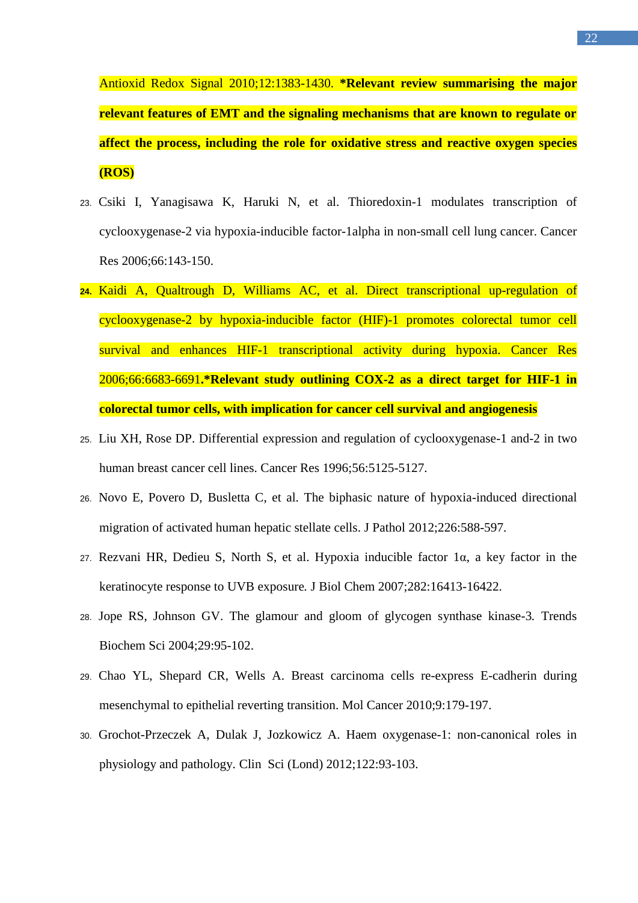Antioxid Redox Signal 2010;12:1383-1430. **\*Relevant review summarising the major relevant features of EMT and the signaling mechanisms that are known to regulate or affect the process, including the role for oxidative stress and reactive oxygen species (ROS)**

- 23. [Csiki I,](http://www.ncbi.nlm.nih.gov/pubmed?term=Csiki%20I%5BAuthor%5D&cauthor=true&cauthor_uid=16397226) [Yanagisawa](http://www.ncbi.nlm.nih.gov/pubmed?term=Yanagisawa%20K%5BAuthor%5D&cauthor=true&cauthor_uid=16397226) K, [Haruki N,](http://www.ncbi.nlm.nih.gov/pubmed?term=Haruki%20N%5BAuthor%5D&cauthor=true&cauthor_uid=16397226) et al. Thioredoxin-1 modulates transcription of cyclooxygenase-2 via hypoxia-inducible factor-1alpha in non-small cell lung cancer. Cancer Res 2006;66:143-150.
- **24.** [Kaidi A,](http://www.ncbi.nlm.nih.gov/pubmed?term=Kaidi%20A%5BAuthor%5D&cauthor=true&cauthor_uid=16818642) [Qualtrough D,](http://www.ncbi.nlm.nih.gov/pubmed?term=Qualtrough%20D%5BAuthor%5D&cauthor=true&cauthor_uid=16818642) [Williams AC,](http://www.ncbi.nlm.nih.gov/pubmed?term=Williams%20AC%5BAuthor%5D&cauthor=true&cauthor_uid=16818642) [et](http://www.ncbi.nlm.nih.gov/pubmed?term=Paraskeva%20C%5BAuthor%5D&cauthor=true&cauthor_uid=16818642) al. Direct transcriptional up-regulation of cyclooxygenase-2 by hypoxia-inducible factor (HIF)-1 promotes colorectal tumor cell survival and enhances HIF-1 transcriptional activity during hypoxia. Cancer Res 2006;66:6683-6691**.\*Relevant study outlining COX-2 as a direct target for HIF-1 in colorectal tumor cells, with implication for cancer cell survival and angiogenesis**
- 25. [Liu XH,](http://www.ncbi.nlm.nih.gov/pubmed?term=Liu%20XH%5BAuthor%5D&cauthor=true&cauthor_uid=8912844) [Rose DP.](http://www.ncbi.nlm.nih.gov/pubmed?term=Rose%20DP%5BAuthor%5D&cauthor=true&cauthor_uid=8912844) Differential expression and regulation of cyclooxygenase-1 and-2 in two human breast cancer cell lines. Cancer Res 1996;56:5125-5127.
- 26. [Novo E,](http://www.ncbi.nlm.nih.gov/pubmed?term=Novo%20E%5BAuthor%5D&cauthor=true&cauthor_uid=21959987) [Povero D,](http://www.ncbi.nlm.nih.gov/pubmed?term=Povero%20D%5BAuthor%5D&cauthor=true&cauthor_uid=21959987) [Busletta C,](http://www.ncbi.nlm.nih.gov/pubmed?term=Busletta%20C%5BAuthor%5D&cauthor=true&cauthor_uid=21959987) et al. [The biphasic nature of hypoxia-induced directional](http://www.ncbi.nlm.nih.gov/pubmed/21959987)  [migration of activated human hepatic stellate cells.](http://www.ncbi.nlm.nih.gov/pubmed/21959987) J Pathol 2012;226:588-597.
- 27. [Rezvani HR,](http://www.ncbi.nlm.nih.gov/pubmed?term=Rezvani%20HR%5BAuthor%5D&cauthor=true&cauthor_uid=17400550) [Dedieu S,](http://www.ncbi.nlm.nih.gov/pubmed?term=Dedieu%20S%5BAuthor%5D&cauthor=true&cauthor_uid=17400550) [North S,](http://www.ncbi.nlm.nih.gov/pubmed?term=North%20S%5BAuthor%5D&cauthor=true&cauthor_uid=17400550) et al. Hypoxia inducible factor 1α, a key factor in the keratinocyte response to UVB exposure*.* J Biol Chem 2007;282:16413*-*16422.
- 28. [Jope RS,](http://www.ncbi.nlm.nih.gov/pubmed?term=Jope%20RS%5BAuthor%5D&cauthor=true&cauthor_uid=15102436) [Johnson GV.](http://www.ncbi.nlm.nih.gov/pubmed?term=Johnson%20GV%5BAuthor%5D&cauthor=true&cauthor_uid=15102436) The glamour and gloom of glycogen synthase kinase-3*.* Trends Biochem Sci 2004;29:95*-*102.
- 29. [Chao YL,](http://www.ncbi.nlm.nih.gov/pubmed?term=Chao%20YL%5BAuthor%5D&cauthor=true&cauthor_uid=20609236) [Shepard CR,](http://www.ncbi.nlm.nih.gov/pubmed?term=Shepard%20CR%5BAuthor%5D&cauthor=true&cauthor_uid=20609236) [Wells A.](http://www.ncbi.nlm.nih.gov/pubmed?term=Wells%20A%5BAuthor%5D&cauthor=true&cauthor_uid=20609236) Breast carcinoma cells re-express E-cadherin during mesenchymal to epithelial reverting transition. [Mol Cancer](http://www.ncbi.nlm.nih.gov/pubmed/?term=Breast+carcinoma+cells+re-express+E-cadherin+during+mesenchymal+to+epithelial+reverting+transitionMol+Cancer.+2010%3B+9%3A+179.) 2010;9:179-197.
- 30. [Grochot-Przeczek A,](http://www.ncbi.nlm.nih.gov/pubmed?term=Grochot-Przeczek%20A%5BAuthor%5D&cauthor=true&cauthor_uid=21992109) [Dulak J,](http://www.ncbi.nlm.nih.gov/pubmed?term=Dulak%20J%5BAuthor%5D&cauthor=true&cauthor_uid=21992109) [Jozkowicz A.](http://www.ncbi.nlm.nih.gov/pubmed?term=Jozkowicz%20A%5BAuthor%5D&cauthor=true&cauthor_uid=21992109) Haem [oxygenase-1: non-canonical roles in](http://www.ncbi.nlm.nih.gov/pubmed/21992109)  [physiology and pathology.](http://www.ncbi.nlm.nih.gov/pubmed/21992109) Clin Sci (Lond) 2012;122:93-103.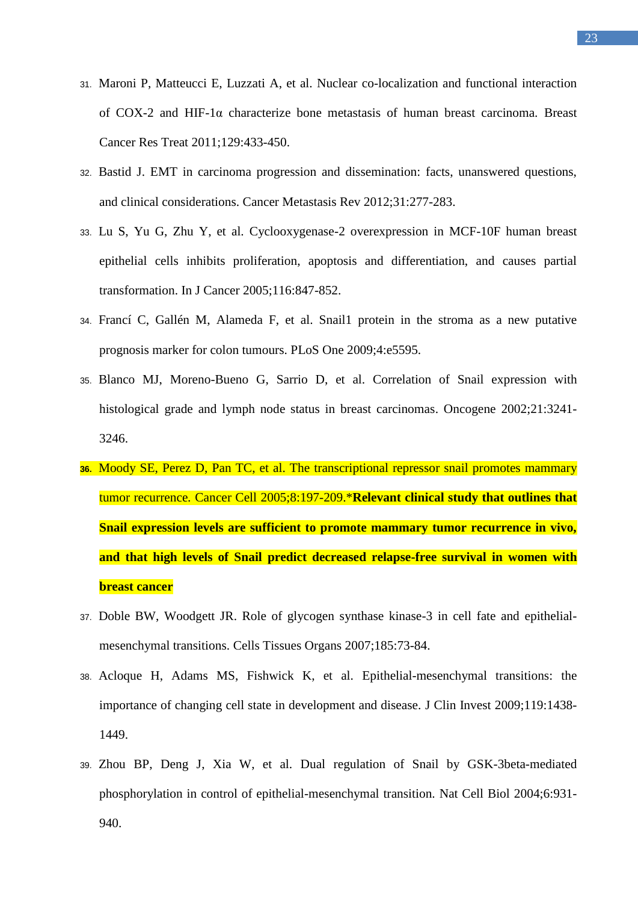- 31. [Maroni P,](http://www.ncbi.nlm.nih.gov/pubmed?term=Maroni%20P%5BAuthor%5D&cauthor=true&cauthor_uid=21069452) [Matteucci E,](http://www.ncbi.nlm.nih.gov/pubmed?term=Matteucci%20E%5BAuthor%5D&cauthor=true&cauthor_uid=21069452) [Luzzati A,](http://www.ncbi.nlm.nih.gov/pubmed?term=Luzzati%20A%5BAuthor%5D&cauthor=true&cauthor_uid=21069452) et al. [Nuclear co-localization and functional interaction](http://www.ncbi.nlm.nih.gov/pubmed/21069452)  of COX-2 and HIF-1α [characterize bone metastasis of human breast carcinoma.](http://www.ncbi.nlm.nih.gov/pubmed/21069452) Breast Cancer Res Treat 2011;129:433-450.
- 32. Bastid J. EMT [in carcinoma progression and dissemination: facts, unanswered questions,](http://www.ncbi.nlm.nih.gov/pubmed/22215472)  [and clinical considerations.](http://www.ncbi.nlm.nih.gov/pubmed/22215472) Cancer Metastasis Rev 2012;31:277-283.
- 33. Lu S, Yu G, Zhu Y, et al. Cyclooxygenase-2 overexpression in MCF-10F human breast epithelial cells inhibits proliferation, apoptosis and differentiation, and causes partial transformation. In J Cancer 2005;116:847-852.
- 34. [Francí C,](http://www.ncbi.nlm.nih.gov/pubmed?term=Franc%C3%AD%20C%5BAuthor%5D&cauthor=true&cauthor_uid=19440385) [Gallén M,](http://www.ncbi.nlm.nih.gov/pubmed?term=Gall%C3%A9n%20M%5BAuthor%5D&cauthor=true&cauthor_uid=19440385) [Alameda F,](http://www.ncbi.nlm.nih.gov/pubmed?term=Alameda%20F%5BAuthor%5D&cauthor=true&cauthor_uid=19440385) et al. Snail1 protein in the stroma as a new putative prognosis marker for colon tumours. PLoS One 2009;4:e5595.
- 35. [Blanco MJ,](http://www.ncbi.nlm.nih.gov/pubmed?term=Blanco%20MJ%5BAuthor%5D&cauthor=true&cauthor_uid=12082640) [Moreno-Bueno G,](http://www.ncbi.nlm.nih.gov/pubmed?term=Moreno-Bueno%20G%5BAuthor%5D&cauthor=true&cauthor_uid=12082640) [Sarrio D,](http://www.ncbi.nlm.nih.gov/pubmed?term=Sarrio%20D%5BAuthor%5D&cauthor=true&cauthor_uid=12082640) et al. Correlation of Snail expression with histological grade and lymph node status in breast carcinomas. Oncogene 2002;21:3241- 3246.
- **36.** [Moody SE,](http://www.ncbi.nlm.nih.gov/pubmed?term=Moody%20SE%5BAuthor%5D&cauthor=true&cauthor_uid=16169465) [Perez D,](http://www.ncbi.nlm.nih.gov/pubmed?term=Perez%20D%5BAuthor%5D&cauthor=true&cauthor_uid=16169465) [Pan TC,](http://www.ncbi.nlm.nih.gov/pubmed?term=Pan%20TC%5BAuthor%5D&cauthor=true&cauthor_uid=16169465) et al. The transcriptional repressor snail promotes mammary tumor recurrence*.* Cancer Cell 2005;8:197-209.\***Relevant clinical study that outlines that Snail expression levels are sufficient to promote mammary tumor recurrence in vivo, and that high levels of Snail predict decreased relapse-free survival in women with breast cancer**
- 37. [Doble BW,](http://www.ncbi.nlm.nih.gov/pubmed?term=Doble%20BW%5BAuthor%5D&cauthor=true&cauthor_uid=17587811) [Woodgett JR.](http://www.ncbi.nlm.nih.gov/pubmed?term=Woodgett%20JR%5BAuthor%5D&cauthor=true&cauthor_uid=17587811) Role of glycogen synthase kinase-3 in cell fate and epithelialmesenchymal transitions. Cells Tissues Organs 2007;185:73-84.
- 38. [Acloque H,](http://www.ncbi.nlm.nih.gov/pubmed?term=Acloque%20H%5BAuthor%5D&cauthor=true&cauthor_uid=19487820) [Adams MS,](http://www.ncbi.nlm.nih.gov/pubmed?term=Adams%20MS%5BAuthor%5D&cauthor=true&cauthor_uid=19487820) [Fishwick K,](http://www.ncbi.nlm.nih.gov/pubmed?term=Fishwick%20K%5BAuthor%5D&cauthor=true&cauthor_uid=19487820) et al. Epithelial-mesenchymal transitions: the importance of changing cell state in development and disease*.* J Clin Invest 2009;119:1438- 1449.
- 39. [Zhou BP,](http://www.ncbi.nlm.nih.gov/pubmed?term=Zhou%20BP%5BAuthor%5D&cauthor=true&cauthor_uid=15448698) [Deng J,](http://www.ncbi.nlm.nih.gov/pubmed?term=Deng%20J%5BAuthor%5D&cauthor=true&cauthor_uid=15448698) [Xia W,](http://www.ncbi.nlm.nih.gov/pubmed?term=Xia%20W%5BAuthor%5D&cauthor=true&cauthor_uid=15448698) et al. Dual regulation of Snail by GSK-3beta-mediated phosphorylation in control of epithelial-mesenchymal transition. Nat Cell Biol 2004;6:931- 940.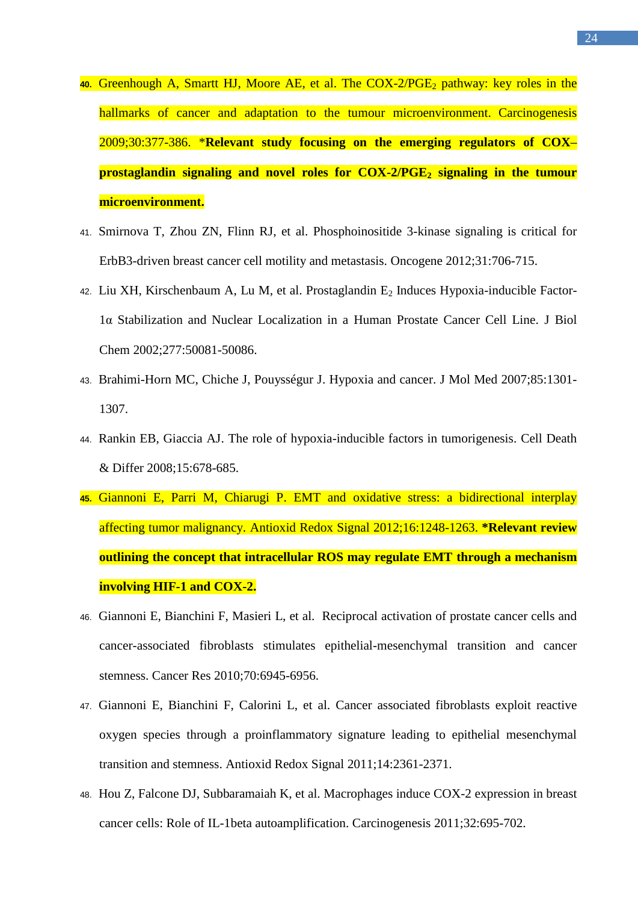- 40. [Greenhough A,](http://www.ncbi.nlm.nih.gov/pubmed?term=Greenhough%20A%5BAuthor%5D&cauthor=true&cauthor_uid=19136477) [Smartt HJ,](http://www.ncbi.nlm.nih.gov/pubmed?term=Smartt%20HJ%5BAuthor%5D&cauthor=true&cauthor_uid=19136477) [Moore AE,](http://www.ncbi.nlm.nih.gov/pubmed?term=Moore%20AE%5BAuthor%5D&cauthor=true&cauthor_uid=19136477) et al. The COX-2/PGE<sub>2</sub> pathway: key roles in the hallmarks of cancer and adaptation to the tumour microenvironment. Carcinogenesis 2009;30:377-386. \***Relevant study focusing on the emerging regulators of COX– prostaglandin signaling and novel roles for COX-2/PGE<sup>2</sup> signaling in the tumour microenvironment.**
- 41. [Smirnova T,](http://www.ncbi.nlm.nih.gov/pubmed?term=Smirnova%20T%5BAuthor%5D&cauthor=true&cauthor_uid=21725367) [Zhou ZN,](http://www.ncbi.nlm.nih.gov/pubmed?term=Zhou%20ZN%5BAuthor%5D&cauthor=true&cauthor_uid=21725367) [Flinn RJ,](http://www.ncbi.nlm.nih.gov/pubmed?term=Flinn%20RJ%5BAuthor%5D&cauthor=true&cauthor_uid=21725367) et al. Phosphoinositide 3-kinase signaling is critical for ErbB3-driven breast cancer cell motility and metastasis. Oncogene 2012;31:706-715.
- 42. [Liu XH,](http://www.ncbi.nlm.nih.gov/pubmed?term=Liu%20XH%5BAuthor%5D&cauthor=true&cauthor_uid=12401798) [Kirschenbaum A,](http://www.ncbi.nlm.nih.gov/pubmed?term=Kirschenbaum%20A%5BAuthor%5D&cauthor=true&cauthor_uid=12401798) [Lu M,](http://www.ncbi.nlm.nih.gov/pubmed?term=Lu%20M%5BAuthor%5D&cauthor=true&cauthor_uid=12401798) et al. Prostaglandin E<sub>2</sub> Induces Hypoxia-inducible Factor-1α Stabilization and Nuclear Localization in a Human Prostate Cancer Cell Line. J Biol Chem 2002;277:50081-50086.
- 43. [Brahimi-Horn MC,](http://www.ncbi.nlm.nih.gov/pubmed?term=Brahimi-Horn%20MC%5BAuthor%5D&cauthor=true&cauthor_uid=18026916) [Chiche J,](http://www.ncbi.nlm.nih.gov/pubmed?term=Chiche%20J%5BAuthor%5D&cauthor=true&cauthor_uid=18026916) [Pouysségur J.](http://www.ncbi.nlm.nih.gov/pubmed?term=Pouyss%C3%A9gur%20J%5BAuthor%5D&cauthor=true&cauthor_uid=18026916) Hypoxia and cancer. J Mol Med 2007;85:1301- 1307.
- 44. [Rankin EB,](http://www.ncbi.nlm.nih.gov/pubmed?term=Rankin%20EB%5BAuthor%5D&cauthor=true&cauthor_uid=18259193) [Giaccia AJ.](http://www.ncbi.nlm.nih.gov/pubmed?term=Giaccia%20AJ%5BAuthor%5D&cauthor=true&cauthor_uid=18259193) The role of hypoxia-inducible factors in tumorigenesis. Cell Death & Differ 2008;15:678-685.
- **45.** [Giannoni E,](http://www.ncbi.nlm.nih.gov/pubmed?term=Giannoni%20E%5BAuthor%5D&cauthor=true&cauthor_uid=21929373) [Parri M,](http://www.ncbi.nlm.nih.gov/pubmed?term=Parri%20M%5BAuthor%5D&cauthor=true&cauthor_uid=21929373) [Chiarugi P.](http://www.ncbi.nlm.nih.gov/pubmed?term=Chiarugi%20P%5BAuthor%5D&cauthor=true&cauthor_uid=21929373) EMT [and oxidative stress: a bidirectional interplay](http://www.ncbi.nlm.nih.gov/pubmed/21929373)  [affecting tumor malignancy.](http://www.ncbi.nlm.nih.gov/pubmed/21929373) Antioxid Redox Signal 2012;16:1248-1263. **\*Relevant review outlining the concept that intracellular ROS may regulate EMT through a mechanism involving HIF-1 and COX-2.**
- 46. [Giannoni E,](http://www.ncbi.nlm.nih.gov/pubmed?term=Giannoni%20E%5BAuthor%5D&cauthor=true&cauthor_uid=20699369) [Bianchini F,](http://www.ncbi.nlm.nih.gov/pubmed?term=Bianchini%20F%5BAuthor%5D&cauthor=true&cauthor_uid=20699369) [Masieri L,](http://www.ncbi.nlm.nih.gov/pubmed?term=Masieri%20L%5BAuthor%5D&cauthor=true&cauthor_uid=20699369) et al. Reciprocal activation of prostate cancer cells and cancer-associated fibroblasts stimulates epithelial-mesenchymal transition and cancer stemness. Cancer Res 2010;70:6945-6956.
- 47. [Giannoni E,](http://www.ncbi.nlm.nih.gov/pubmed?term=Giannoni%20E%5BAuthor%5D&cauthor=true&cauthor_uid=21235356) [Bianchini F,](http://www.ncbi.nlm.nih.gov/pubmed?term=Bianchini%20F%5BAuthor%5D&cauthor=true&cauthor_uid=21235356) [Calorini L,](http://www.ncbi.nlm.nih.gov/pubmed?term=Calorini%20L%5BAuthor%5D&cauthor=true&cauthor_uid=21235356) [et](http://www.ncbi.nlm.nih.gov/pubmed?term=Chiarugi%20P%5BAuthor%5D&cauthor=true&cauthor_uid=21235356) al. Cancer associated fibroblasts exploit reactive oxygen species through a proinflammatory signature leading to epithelial mesenchymal transition and stemness. Antioxid Redox Signal 2011;14:2361-2371.
- 48. [Hou Z,](http://www.ncbi.nlm.nih.gov/pubmed?term=Hou%20Z%5BAuthor%5D&cauthor=true&cauthor_uid=21310944) [Falcone DJ,](http://www.ncbi.nlm.nih.gov/pubmed?term=Falcone%20DJ%5BAuthor%5D&cauthor=true&cauthor_uid=21310944) [Subbaramaiah K,](http://www.ncbi.nlm.nih.gov/pubmed?term=Subbaramaiah%20K%5BAuthor%5D&cauthor=true&cauthor_uid=21310944) [et](http://www.ncbi.nlm.nih.gov/pubmed?term=Dannenberg%20AJ%5BAuthor%5D&cauthor=true&cauthor_uid=21310944) al. Macrophages induce COX-2 expression in breast cancer cells: Role of IL-1beta autoamplification. Carcinogenesis 2011;32:695-702.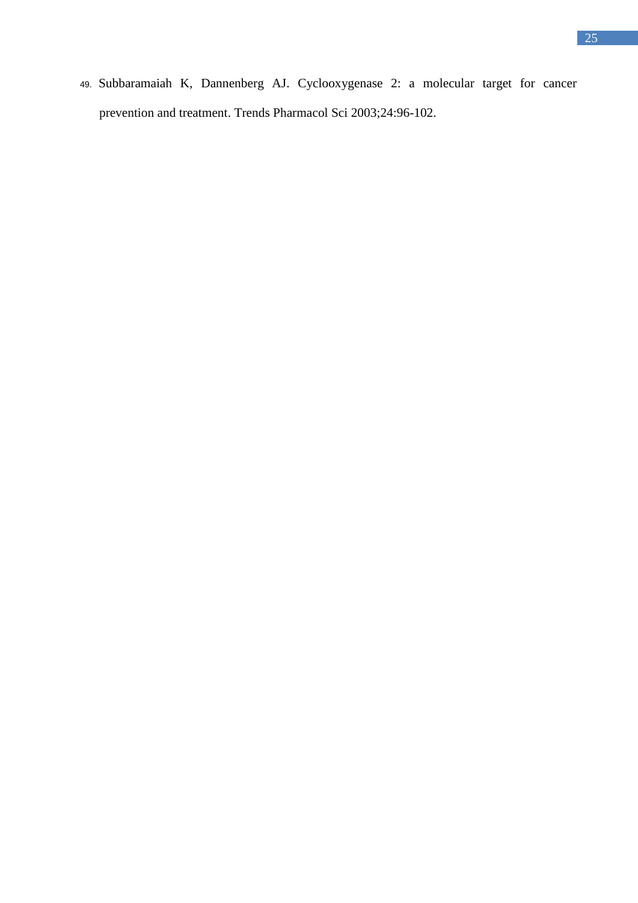49. [Subbaramaiah K,](http://www.ncbi.nlm.nih.gov/pubmed?term=Subbaramaiah%20K%5BAuthor%5D&cauthor=true&cauthor_uid=12559775) [Dannenberg AJ.](http://www.ncbi.nlm.nih.gov/pubmed?term=Dannenberg%20AJ%5BAuthor%5D&cauthor=true&cauthor_uid=12559775) Cyclooxygenase 2: a molecular target for cancer prevention and treatment. Trends Pharmacol Sci 2003;24:96-102.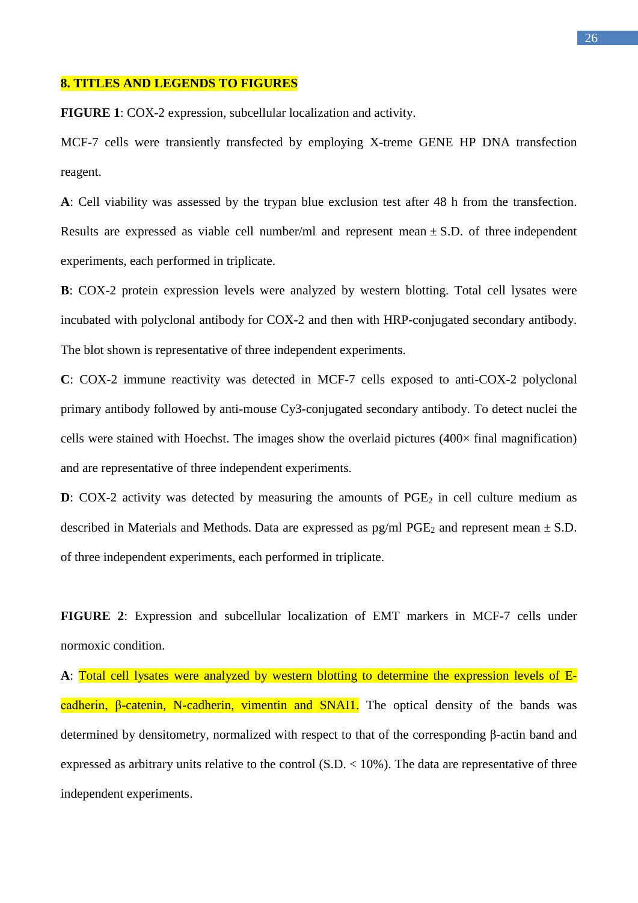#### **8. TITLES AND LEGENDS TO FIGURES**

**FIGURE 1**: COX-2 expression, subcellular localization and activity.

MCF-7 cells were transiently transfected by employing X-treme GENE HP DNA transfection reagent.

**A**: Cell viability was assessed by the trypan blue exclusion test after 48 h from the transfection. Results are expressed as viable cell number/ml and represent mean  $\pm$  S.D. of three independent experiments, each performed in triplicate.

**B**: COX-2 protein expression levels were analyzed by western blotting. Total cell lysates were incubated with polyclonal antibody for COX-2 and then with HRP-conjugated secondary antibody. The blot shown is representative of three independent experiments.

**C**: COX-2 immune reactivity was detected in MCF-7 cells exposed to anti-COX-2 polyclonal primary antibody followed by anti-mouse Cy3-conjugated secondary antibody. To detect nuclei the cells were stained with Hoechst. The images show the overlaid pictures  $(400 \times$  final magnification) and are representative of three independent experiments.

**D**: COX-2 activity was detected by measuring the amounts of  $PGE_2$  in cell culture medium as described in Materials and Methods. Data are expressed as  $pg/ml PGE<sub>2</sub>$  and represent mean  $\pm$  S.D. of three independent experiments, each performed in triplicate.

**FIGURE 2**: Expression and subcellular localization of EMT markers in MCF-7 cells under normoxic condition.

**A**: Total cell lysates were analyzed by western blotting to determine the expression levels of Ecadherin, β-catenin, N-cadherin, vimentin and SNAI1. The optical density of the bands was determined by densitometry, normalized with respect to that of the corresponding β-actin band and expressed as arbitrary units relative to the control (S.D. < 10%). The data are representative of three independent experiments.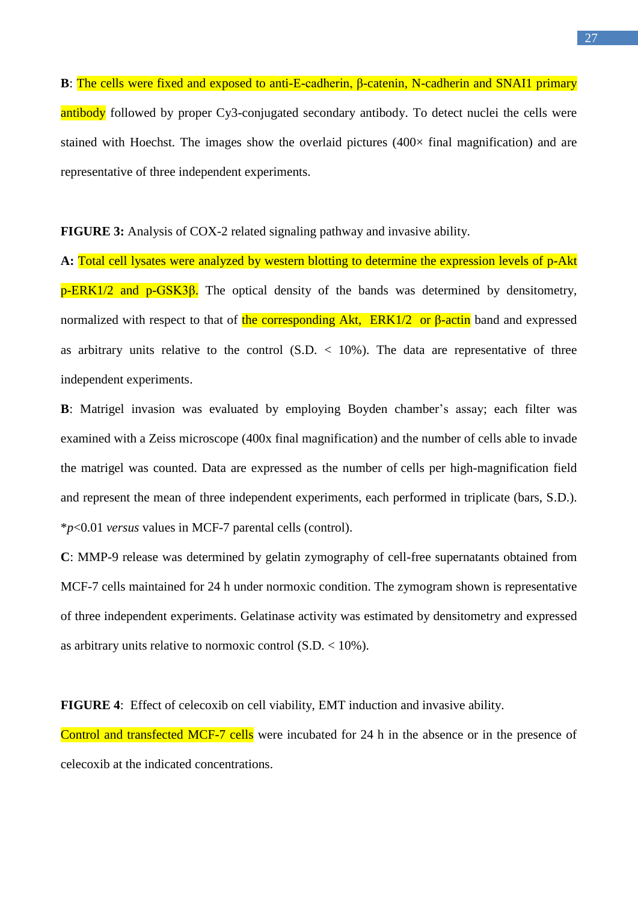**B**: The cells were fixed and exposed to anti-E-cadherin, β-catenin, N-cadherin and SNAI1 primary antibody followed by proper Cy3-conjugated secondary antibody. To detect nuclei the cells were stained with Hoechst. The images show the overlaid pictures  $(400 \times$  final magnification) and are representative of three independent experiments.

**FIGURE 3:** Analysis of COX-2 related signaling pathway and invasive ability.

**A:** Total cell lysates were analyzed by western blotting to determine the expression levels of p-Akt  $p$ -ERK1/2 and  $p$ -GSK3 $\beta$ . The optical density of the bands was determined by densitometry, normalized with respect to that of the corresponding Akt,  $ERK1/2$  or β-actin band and expressed as arbitrary units relative to the control  $(S.D. < 10\%)$ . The data are representative of three independent experiments.

**B**: Matrigel invasion was evaluated by employing Boyden chamber's assay; each filter was examined with a Zeiss microscope (400x final magnification) and the number of cells able to invade the matrigel was counted. Data are expressed as the number of cells per high-magnification field and represent the mean of three independent experiments, each performed in triplicate (bars, S.D.). \**p*<0.01 *versus* values in MCF-7 parental cells (control).

**C**: MMP-9 release was determined by gelatin zymography of cell-free supernatants obtained from MCF-7 cells maintained for 24 h under normoxic condition. The zymogram shown is representative of three independent experiments. Gelatinase activity was estimated by densitometry and expressed as arbitrary units relative to normoxic control (S.D. < 10%).

**FIGURE 4**: Effect of celecoxib on cell viability, EMT induction and invasive ability.

Control and transfected MCF-7 cells were incubated for 24 h in the absence or in the presence of celecoxib at the indicated concentrations.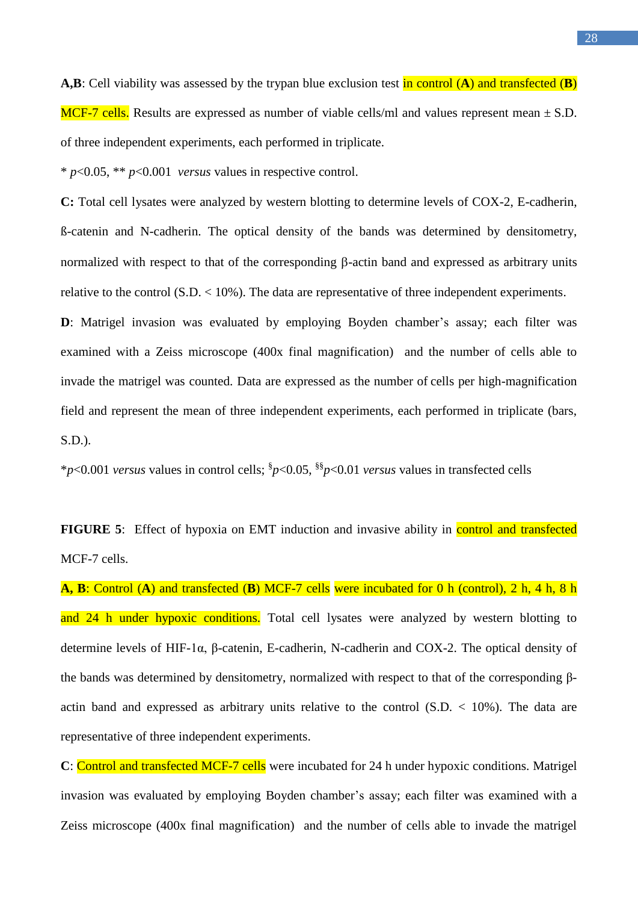**A,B**: Cell viability was assessed by the trypan blue exclusion test in control (**A**) and transfected (**B**) MCF-7 cells. Results are expressed as number of viable cells/ml and values represent mean  $\pm$  S.D. of three independent experiments, each performed in triplicate.

\* *p*<0.05, \*\* *p*<0.001 *versus* values in respective control.

**C:** Total cell lysates were analyzed by western blotting to determine levels of COX-2, E-cadherin, ß-catenin and N-cadherin. The optical density of the bands was determined by densitometry, normalized with respect to that of the corresponding  $\beta$ -actin band and expressed as arbitrary units relative to the control (S.D. < 10%). The data are representative of three independent experiments.

**D**: Matrigel invasion was evaluated by employing Boyden chamber's assay; each filter was examined with a Zeiss microscope (400x final magnification) and the number of cells able to invade the matrigel was counted. Data are expressed as the number of cells per high-magnification field and represent the mean of three independent experiments, each performed in triplicate (bars, S.D.).

\**p*<0.001 *versus* values in control cells; § *p*<0.05, §§ *p*<0.01 *versus* values in transfected cells

**FIGURE 5:** Effect of hypoxia on EMT induction and invasive ability in **control and transfected** MCF-7 cells.

**A, B**: Control (**A**) and transfected (**B**) MCF-7 cells were incubated for 0 h (control), 2 h, 4 h, 8 h and 24 h under hypoxic conditions. Total cell lysates were analyzed by western blotting to determine levels of HIF-1α, β-catenin, E-cadherin, N-cadherin and COX-2. The optical density of the bands was determined by densitometry, normalized with respect to that of the corresponding βactin band and expressed as arbitrary units relative to the control  $(S.D. < 10\%)$ . The data are representative of three independent experiments.

**C**: Control and transfected MCF-7 cells were incubated for 24 h under hypoxic conditions. Matrigel invasion was evaluated by employing Boyden chamber's assay; each filter was examined with a Zeiss microscope (400x final magnification) and the number of cells able to invade the matrigel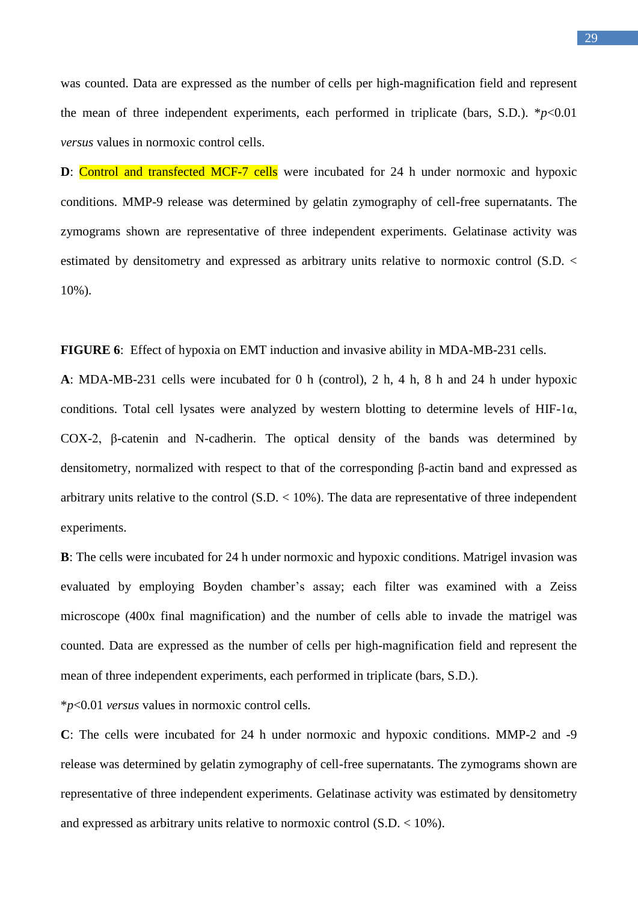29

was counted. Data are expressed as the number of cells per high-magnification field and represent the mean of three independent experiments, each performed in triplicate (bars, S.D.).  $*_{p}$ <0.01 *versus* values in normoxic control cells.

**D**: Control and transfected MCF-7 cells were incubated for 24 h under normoxic and hypoxic conditions. MMP-9 release was determined by gelatin zymography of cell-free supernatants. The zymograms shown are representative of three independent experiments. Gelatinase activity was estimated by densitometry and expressed as arbitrary units relative to normoxic control (S.D. < 10%).

**FIGURE 6**: Effect of hypoxia on EMT induction and invasive ability in MDA-MB-231 cells.

**A**: MDA-MB-231 cells were incubated for 0 h (control), 2 h, 4 h, 8 h and 24 h under hypoxic conditions. Total cell lysates were analyzed by western blotting to determine levels of HIF-1 $\alpha$ , COX-2, β-catenin and N-cadherin. The optical density of the bands was determined by densitometry, normalized with respect to that of the corresponding β-actin band and expressed as arbitrary units relative to the control  $(S.D. < 10\%)$ . The data are representative of three independent experiments.

**B**: The cells were incubated for 24 h under normoxic and hypoxic conditions. Matrigel invasion was evaluated by employing Boyden chamber's assay; each filter was examined with a Zeiss microscope (400x final magnification) and the number of cells able to invade the matrigel was counted. Data are expressed as the number of cells per high-magnification field and represent the mean of three independent experiments, each performed in triplicate (bars, S.D.).

\**p*<0.01 *versus* values in normoxic control cells.

**C**: The cells were incubated for 24 h under normoxic and hypoxic conditions. MMP-2 and -9 release was determined by gelatin zymography of cell-free supernatants. The zymograms shown are representative of three independent experiments. Gelatinase activity was estimated by densitometry and expressed as arbitrary units relative to normoxic control  $(S.D. < 10\%)$ .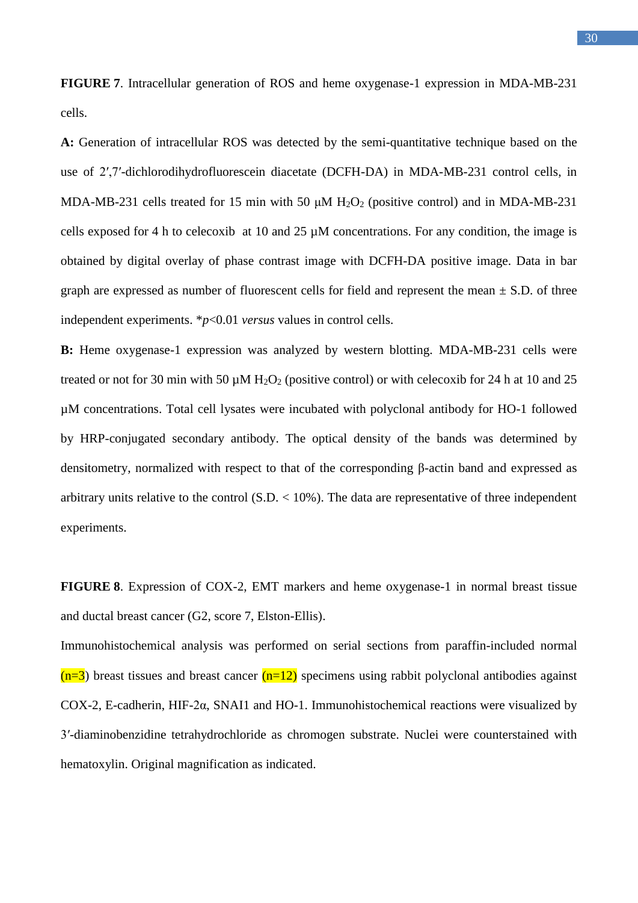30

**FIGURE 7**. Intracellular generation of ROS and heme oxygenase-1 expression in MDA-MB-231 cells.

**A:** Generation of intracellular ROS was detected by the semi-quantitative technique based on the use of 2′,7′-dichlorodihydrofluorescein diacetate (DCFH-DA) in MDA-MB-231 control cells, in MDA-MB-231 cells treated for 15 min with 50  $\mu$ M H<sub>2</sub>O<sub>2</sub> (positive control) and in MDA-MB-231 cells exposed for 4 h to celecoxib at 10 and 25 µM concentrations. For any condition, the image is obtained by digital overlay of phase contrast image with DCFH-DA positive image. Data in bar graph are expressed as number of fluorescent cells for field and represent the mean  $\pm$  S.D. of three independent experiments. \**p*<0.01 *versus* values in control cells.

**B:** Heme oxygenase-1 expression was analyzed by western blotting. MDA-MB-231 cells were treated or not for 30 min with 50  $\mu$ M H<sub>2</sub>O<sub>2</sub> (positive control) or with celecoxib for 24 h at 10 and 25 µM concentrations. Total cell lysates were incubated with polyclonal antibody for HO-1 followed by HRP-conjugated secondary antibody. The optical density of the bands was determined by densitometry, normalized with respect to that of the corresponding β-actin band and expressed as arbitrary units relative to the control  $(S.D. < 10\%)$ . The data are representative of three independent experiments.

**FIGURE 8**. Expression of COX-2, EMT markers and heme oxygenase-1 in normal breast tissue and ductal breast cancer (G2, score 7, Elston-Ellis).

Immunohistochemical analysis was performed on serial sections from paraffin-included normal  $(n=3)$  breast tissues and breast cancer  $(n=12)$  specimens using rabbit polyclonal antibodies against COX-2, E-cadherin, HIF-2α, SNAI1 and HO-1. Immunohistochemical reactions were visualized by 3′-diaminobenzidine tetrahydrochloride as chromogen substrate. Nuclei were counterstained with hematoxylin. Original magnification as indicated.